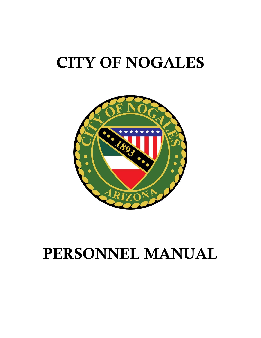# CITY OF NOGALES



# PERSONNEL MANUAL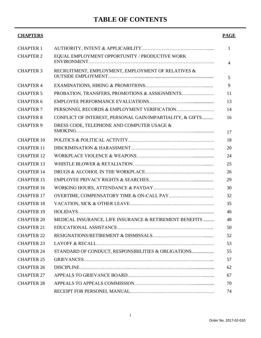# **TABLE OF CONTENTS**

# **CHAPTERS PAGE** CHAPTER 1 AUTHORITY, INTENT & APPLICABILITY……………………………………...... 1 CHAPTER 2 EQUAL EMPLOYMENT OPPORTUNITY / PRODUCTIVE WORK ENVIRONMENT……………………………………………………………………... 4 CHAPTER 3 RECRUITMENT, EMPLOYMENT, EMPLOYMENT OF RELATIVES & OUTSIDE EMPLOYMENT…..………….................................................................... 5 CHAPTER 4 EXAMINATIONS, HIRING & PROMOTIONS.…….…………………………........ 9 CHAPTER 5 PROBATION, TRANSFERS, PROMOTIONS & ASSIGNMENTS………………… 11 CHAPTER 6 EMPLOYEE PERFORMANCE EVALUATIONS……………………....................... 13 CHAPTER 7 PERSONNEL RECORDS & EMPLOYMENT VERIFICATION…………………… 14 CHAPTER 8 CONFLICT OF INTEREST, PERSONAL GAIN/IMPARTIALITY, & GIFTS.......... 16 CHAPTER 9 DRESS CODE, TELEPHONE AND COMPUTER USAGE & SMOKING………………………………………………………………….................. 17 CHAPTER 10 POLITICS & POLITICAL ACTIVITY………………………………………………. 18 CHAPTER 11 DISCRIMINATION & HARASSMENT……………………………………………... 20 CHAPTER 12 WORKPLACE VIOLENCE & WEAPONS……………………………….................. 24 CHAPTER 13 WHISTLE BLOWER & RETALIATION………………………………………......... 25 CHAPTER 14 DRUGS & ALCOHOL IN THE WORKPLACE……………………………………... 26 CHAPTER 15 EMPLOYEE PRIVACY RIGHTS & SEARCHES………………………................... 29 CHAPTER 16 WORKING HOURS, ATTENDANCE & PAYDAY………………………………… 30 CHAPTER 17 OVERTIME, COMPENSATORY TIME & ON-CALL PAY……………………….. 32 CHAPTER 18 VACATION, SICK & OTHER LEAVE……………………………………………… 35 CHAPTER 19 HOLIDAYS……………………………………………………………….................... 46 CHAPTER 20 MEDICAL INSURANCE, LIFE INSURANCE & RETIREMENT BENEFITS ......... 48 CHAPTER 21 EDUCATIONAL ASSISTANCE…………………………………………………….. 50 CHAPTER 22 RESIGNATIONS/RETIREMENT & DISMISSALS……………………………........ 52 CHAPTER 23 LAYOFF & RECALL………………………………………………………………… 53 CHAPTER 24 STANDARD OF CONDUCT, RESPONSIBILITIES & OBLIGATIONS................... 55 CHAPTER 25 GRIEVANCES………………………………………………………………………... 57 CHAPTER 26 DISCIPLINE…………………………...………………………………….................... 62 CHAPTER 27 APPEALS TO GRIEVANCE BOARD….………………………………………......... 67 CHAPTER 28 APPEALS TO APPEALS COMMISSION……………………………….................... 70 RECEIPT FOR PERSONEL MANUAL……………………………………………… 74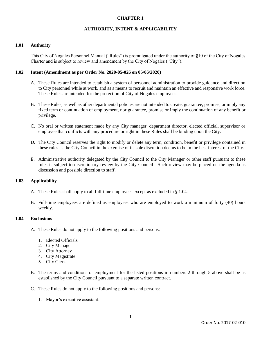# **AUTHORITY, INTENT & APPLICABILITY**

#### **1.01 Authority**

This City of Nogales Personnel Manual ("Rules") is promulgated under the authority of §10 of the City of Nogales Charter and is subject to review and amendment by the City of Nogales ("City").

#### **1.02 Intent (Amendment as per Order No. 2020-05-026 on 05/06/2020)**

- A. These Rules are intended to establish a system of personnel administration to provide guidance and direction to City personnel while at work, and as a means to recruit and maintain an effective and responsive work force. These Rules are intended for the protection of City of Nogales employees.
- B. These Rules, as well as other departmental policies are not intended to create, guarantee, promise, or imply any fixed term or continuation of employment, nor guarantee, promise or imply the continuation of any benefit or privilege.
- C. No oral or written statement made by any City manager, department director, elected official, supervisor or employee that conflicts with any procedure or right in these Rules shall be binding upon the City.
- D. The City Council reserves the right to modify or delete any term, condition, benefit or privilege contained in these rules as the City Council in the exercise of its sole discretion deems to be in the best interest of the City.
- E. Administrative authority delegated by the City Council to the City Manager or other staff pursuant to these rules is subject to discretionary review by the City Council. Such review may be placed on the agenda as discussion and possible direction to staff.

# **1.03 Applicability**

- A. These Rules shall apply to all full-time employees except as excluded in § 1.04.
- B. Full-time employees are defined as employees who are employed to work a minimum of forty (40) hours weekly.

#### **1.04 Exclusions**

- A. These Rules do not apply to the following positions and persons:
	- 1. Elected Officials
	- 2. City Manager
	- 3. City Attorney
	- 4. City Magistrate
	- 5. City Clerk
- B. The terms and conditions of employment for the listed positions in numbers 2 through 5 above shall be as established by the City Council pursuant to a separate written contract.
- C. These Rules do not apply to the following positions and persons:
	- 1. Mayor's executive assistant.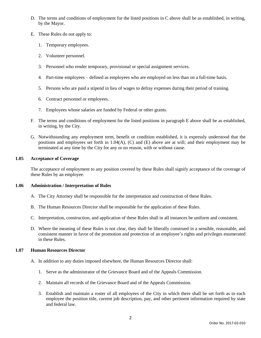- D. The terms and conditions of employment for the listed positions in C above shall be as established, in writing, by the Mayor.
- E. These Rules do not apply to:
	- 1. Temporary employees.
	- 2. Volunteer personnel.
	- 3. Personnel who render temporary, provisional or special assignment services.
	- 4. Part-time employees defined as employees who are employed on less than on a full-time basis.
	- 5. Persons who are paid a stipend in lieu of wages to defray expenses during their period of training.
	- 6. Contract personnel or employees.
	- 7. Employees whose salaries are funded by Federal or other grants.
- F. The terms and conditions of employment for the listed positions in paragraph E above shall be as established, in writing, by the City.
- G. Notwithstanding any employment term, benefit or condition established, it is expressly understood that the positions and employees set forth in 1.04(A), (C) and (E) above are at will; and their employment may be terminated at any time by the City for any or no reason, with or without cause.

# **1.05 Acceptance of Coverage**

The acceptance of employment to any position covered by these Rules shall signify acceptance of the coverage of these Rules by an employee.

# **1.06 Administration / Interpretation of Rules**

- A. The City Attorney shall be responsible for the interpretation and construction of these Rules.
- B. The Human Resources Director shall be responsible for the application of these Rules.
- C. Interpretation, construction, and application of these Rules shall in all instances be uniform and consistent.
- D. Where the meaning of these Rules is not clear, they shall be liberally construed in a sensible, reasonable, and consistent manner in favor of the promotion and protection of an employee's rights and privileges enumerated in these Rules.

# **1.07 Human Resources Director**

- A. In addition to any duties imposed elsewhere, the Human Resources Director shall:
	- 1. Serve as the administrator of the Grievance Board and of the Appeals Commission.
	- 2. Maintain all records of the Grievance Board and of the Appeals Commission.
	- 3. Establish and maintain a roster of all employees of the City in which there shall be set forth as to each employee the position title, current job description, pay, and other pertinent information required by state and federal law.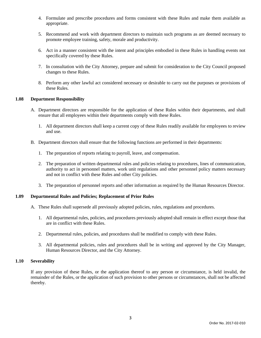- 4. Formulate and prescribe procedures and forms consistent with these Rules and make them available as appropriate.
- 5. Recommend and work with department directors to maintain such programs as are deemed necessary to promote employee training, safety, morale and productivity.
- 6. Act in a manner consistent with the intent and principles embodied in these Rules in handling events not specifically covered by these Rules.
- 7. In consultation with the City Attorney, prepare and submit for consideration to the City Council proposed changes to these Rules.
- 8. Perform any other lawful act considered necessary or desirable to carry out the purposes or provisions of these Rules.

#### **1.08 Department Responsibility**

- A. Department directors are responsible for the application of these Rules within their departments, and shall ensure that all employees within their departments comply with these Rules.
	- 1. All department directors shall keep a current copy of these Rules readily available for employees to review and use.
- B. Department directors shall ensure that the following functions are performed in their departments:
	- 1. The preparation of reports relating to payroll, leave, and compensation.
	- 2. The preparation of written departmental rules and policies relating to procedures, lines of communication, authority to act in personnel matters, work unit regulations and other personnel policy matters necessary and not in conflict with these Rules and other City policies.
	- 3. The preparation of personnel reports and other information as required by the Human Resources Director.

#### **1.09 Departmental Rules and Policies; Replacement of Prior Rules**

- A. These Rules shall supersede all previously adopted policies, rules, regulations and procedures.
	- 1. All departmental rules, policies, and procedures previously adopted shall remain in effect except those that are in conflict with these Rules.
	- 2. Departmental rules, policies, and procedures shall be modified to comply with these Rules.
	- 3. All departmental policies, rules and procedures shall be in writing and approved by the City Manager, Human Resources Director, and the City Attorney.

# **1.10 Severability**

If any provision of these Rules, or the application thereof to any person or circumstance, is held invalid, the remainder of the Rules, or the application of such provision to other persons or circumstances, shall not be affected thereby.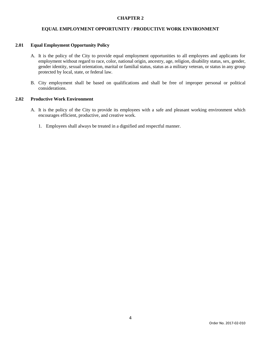#### **EQUAL EMPLOYMENT OPPORTUNITY / PRODUCTIVE WORK ENVIRONMENT**

#### **2.01 Equal Employment Opportunity Policy**

- A. It is the policy of the City to provide equal employment opportunities to all employees and applicants for employment without regard to race, color, national origin, ancestry, age, religion, disability status, sex, gender, gender identity, sexual orientation, marital or familial status, status as a military veteran, or status in any group protected by local, state, or federal law.
- B. City employment shall be based on qualifications and shall be free of improper personal or political considerations.

# **2.02 Productive Work Environment**

- A. It is the policy of the City to provide its employees with a safe and pleasant working environment which encourages efficient, productive, and creative work.
	- 1. Employees shall always be treated in a dignified and respectful manner.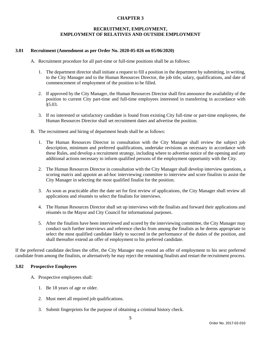# **RECRUITMENT, EMPLOYMENT, EMPLOYMENT OF RELATIVES AND OUTSIDE EMPLOYMENT**

### **3.01 Recruitment (Amendment as per Order No. 2020-05-026 on 05/06/2020)**

- A. Recruitment procedure for all part-time or full-time positions shall be as follows:
	- 1. The department director shall initiate a request to fill a position in the department by submitting, in writing, to the City Manager and to the Human Resources Director, the job title, salary, qualifications, and date of commencement of employment of the position to be filled.
	- 2. If approved by the City Manager, the Human Resources Director shall first announce the availability of the position to current City part-time and full-time employees interested in transferring in accordance with §5.03.
	- 3. If no interested or satisfactory candidate is found from existing City full-time or part-time employees, the Human Resources Director shall set recruitment dates and advertise the position.
- B. The recruitment and hiring of department heads shall be as follows:
	- 1. The Human Resources Director in consultation with the City Manager shall review the subject job description, minimum and preferred qualifications, undertake revisions as necessary in accordance with these Rules, and develop a recruitment strategy, including where to advertise notice of the opening and any additional actions necessary to inform qualified persons of the employment opportunity with the City.
	- 2. The Human Resources Director in consultation with the City Manager shall develop interview questions, a scoring matrix and appoint an ad-hoc interviewing committee to interview and score finalists to assist the City Manager in selecting the most qualified finalist for the position.
	- 3. As soon as practicable after the date set for first review of applications, the City Manager shall review all applications and résumés to select the finalists for interviews.
	- 4. The Human Resources Director shall set up interviews with the finalists and forward their applications and résumés to the Mayor and City Council for informational purposes.
	- 5. After the finalists have been interviewed and scored by the interviewing committee, the City Manager may conduct such further interviews and reference checks from among the finalists as he deems appropriate to select the most qualified candidate likely to succeed in the performance of the duties of the position, and shall thereafter extend an offer of employment to his preferred candidate.

If the preferred candidate declines the offer, the City Manager may extend an offer of employment to his next preferred candidate from among the finalists, or alternatively he may reject the remaining finalists and restart the recruitment process.

# **3.02 Prospective Employees**

- A. Prospective employees shall:
	- 1. Be 18 years of age or older.
	- 2. Must meet all required job qualifications.
	- 3. Submit fingerprints for the purpose of obtaining a criminal history check.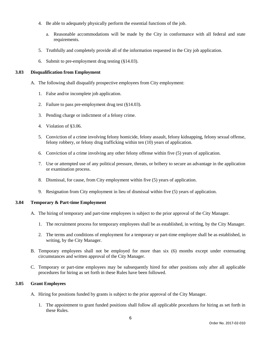- 4. Be able to adequately physically perform the essential functions of the job.
	- a. Reasonable accommodations will be made by the City in conformance with all federal and state requirements.
- 5. Truthfully and completely provide all of the information requested in the City job application.
- 6. Submit to pre-employment drug testing (§14.03).

# **3.03 Disqualification from Employment**

- A. The following shall disqualify prospective employees from City employment:
	- 1. False and/or incomplete job application.
	- 2. Failure to pass pre-employment drug test (§14.03).
	- 3. Pending charge or indictment of a felony crime.
	- 4. Violation of §3.06.
	- 5. Conviction of a crime involving felony homicide, felony assault, felony kidnapping, felony sexual offense, felony robbery, or felony drug trafficking within ten (10) years of application.
	- 6. Conviction of a crime involving any other felony offense within five (5) years of application.
	- 7. Use or attempted use of any political pressure, threats, or bribery to secure an advantage in the application or examination process.
	- 8. Dismissal, for cause, from City employment within five (5) years of application.
	- 9. Resignation from City employment in lieu of dismissal within five (5) years of application.

# **3.04 Temporary & Part-time Employment**

- A. The hiring of temporary and part-time employees is subject to the prior approval of the City Manager.
	- 1. The recruitment process for temporary employees shall be as established, in writing, by the City Manager.
	- 2. The terms and conditions of employment for a temporary or part-time employee shall be as established, in writing, by the City Manager.
- B. Temporary employees shall not be employed for more than six (6) months except under extenuating circumstances and written approval of the City Manager.
- C. Temporary or part-time employees may be subsequently hired for other positions only after all applicable procedures for hiring as set forth in these Rules have been followed.

# **3.05 Grant Employees**

- A. Hiring for positions funded by grants is subject to the prior approval of the City Manager.
	- 1. The appointment to grant funded positions shall follow all applicable procedures for hiring as set forth in these Rules.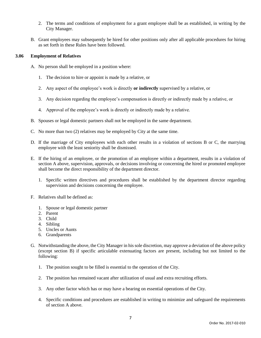- 2. The terms and conditions of employment for a grant employee shall be as established, in writing by the City Manager.
- B. Grant employees may subsequently be hired for other positions only after all applicable procedures for hiring as set forth in these Rules have been followed.

# **3.06 Employment of Relatives**

- A. No person shall be employed in a position where:
	- 1. The decision to hire or appoint is made by a relative, or
	- 2. Any aspect of the employee's work is directly **or indirectly** supervised by a relative, or
	- 3. Any decision regarding the employee's compensation is directly or indirectly made by a relative, or
	- 4. Approval of the employee's work is directly or indirectly made by a relative.
- B. Spouses or legal domestic partners shall not be employed in the same department.
- C. No more than two (2) relatives may be employed by City at the same time.
- D. If the marriage of City employees with each other results in a violation of sections B or C, the marrying employee with the least seniority shall be dismissed.
- E. If the hiring of an employee, or the promotion of an employee within a department, results in a violation of section A above, supervision, approvals, or decisions involving or concerning the hired or promoted employee shall become the direct responsibility of the department director.
	- 1. Specific written directives and procedures shall be established by the department director regarding supervision and decisions concerning the employee.
- F. Relatives shall be defined as:
	- 1. Spouse or legal domestic partner
	- 2. Parent
	- 3. Child
	- 4. Sibling
	- 5. Uncles or Aunts
	- 6. Grandparents
- G. Notwithstanding the above, the City Manager in his sole discretion, may approve a deviation of the above policy (except section B) if specific articulable extenuating factors are present, including but not limited to the following:
	- 1. The position sought to be filled is essential to the operation of the City.
	- 2. The position has remained vacant after utilization of usual and extra recruiting efforts.
	- 3. Any other factor which has or may have a bearing on essential operations of the City.
	- 4. Specific conditions and procedures are established in writing to minimize and safeguard the requirements of section A above.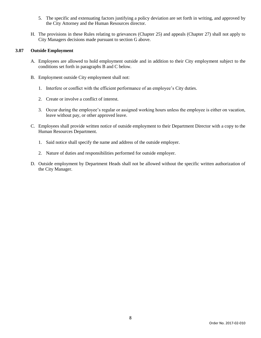- 5. The specific and extenuating factors justifying a policy deviation are set forth in writing, and approved by the City Attorney and the Human Resources director.
- H. The provisions in these Rules relating to grievances (Chapter 25) and appeals (Chapter 27) shall not apply to City Managers decisions made pursuant to section G above.

# **3.07 Outside Employment**

- A. Employees are allowed to hold employment outside and in addition to their City employment subject to the conditions set forth in paragraphs B and C below.
- B. Employment outside City employment shall not:
	- 1. Interfere or conflict with the efficient performance of an employee's City duties.
	- 2. Create or involve a conflict of interest.
	- 3. Occur during the employee's regular or assigned working hours unless the employee is either on vacation, leave without pay, or other approved leave.
- C. Employees shall provide written notice of outside employment to their Department Director with a copy to the Human Resources Department.
	- 1. Said notice shall specify the name and address of the outside employer.
	- 2. Nature of duties and responsibilities performed for outside employer.
- D. Outside employment by Department Heads shall not be allowed without the specific written authorization of the City Manager.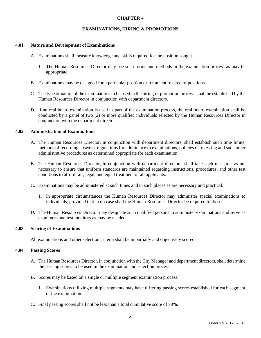#### **EXAMINATIONS, HIRING & PROMOTIONS**

#### **4.01 Nature and Development of Examinations**

- A. Examinations shall measure knowledge and skills required for the position sought.
	- 1. The Human Resources Director may use such forms and methods in the examination process as may be appropriate.
- B. Examinations may be designed for a particular position or for an entire class of positions.
- C. The type or nature of the examinations to be used in the hiring or promotion process, shall be established by the Human Resources Director in conjunction with department directors.
- D. If an oral board examination is used as part of the examination process, the oral board examination shall be conducted by a panel of two (2) or more qualified individuals selected by the Human Resources Director in conjunction with the department director.

# **4.02 Administration of Examinations**

- A. The Human Resources Director, in conjunction with department directors, shall establish such time limits, methods of recording answers, regulations for admittance to examinations, policies on retesting and such other administrative procedures as determined appropriate for each examination.
- B. The Human Resources Director, in conjunction with department directors, shall take such measures as are necessary to ensure that uniform standards are maintained regarding instructions, procedures, and other test conditions to afford fair, legal, and equal treatment of all applicants.
- C. Examinations may be administered at such times and in such places as are necessary and practical.
	- 1. In appropriate circumstances the Human Resources Director may administer special examinations to individuals, provided that in no case shall the Human Resources Director be required to do so.
- D. The Human Resources Director may designate such qualified persons to administer examinations and serve as examiners and test monitors as may be needed.

#### **4.03 Scoring of Examinations**

All examinations and other selection criteria shall be impartially and objectively scored.

#### **4.04 Passing Scores**

- A. The Human Resources Director, in conjunction with the City Manager and department directors, shall determine the passing scores to be used in the examination and selection process.
- B. Scores may be based on a single or multiple segment examination process.
	- 1. Examinations utilizing multiple segments may have differing passing scores established for each segment of the examination.
- C. Final passing scores shall not be less than a total cumulative score of 70%.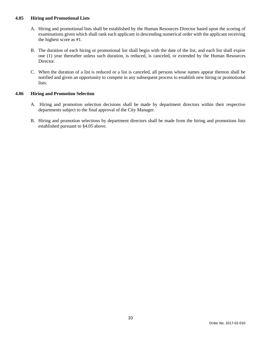# **4.05 Hiring and Promotional Lists**

- A. Hiring and promotional lists shall be established by the Human Resources Director based upon the scoring of examinations given which shall rank each applicant in descending numerical order with the applicant receiving the highest score as #1.
- B. The duration of each hiring or promotional list shall begin with the date of the list, and each list shall expire one (1) year thereafter unless such duration, is reduced, is canceled, or extended by the Human Resources Director.
- C. When the duration of a list is reduced or a list is canceled, all persons whose names appear thereon shall be notified and given an opportunity to compete in any subsequent process to establish new hiring or promotional lists.

#### **4.06 Hiring and Promotion Selection**

- A. Hiring and promotion selection decisions shall be made by department directors within their respective departments subject to the final approval of the City Manager.
- B. Hiring and promotion selections by department directors shall be made from the hiring and promotions lists established pursuant to §4.05 above.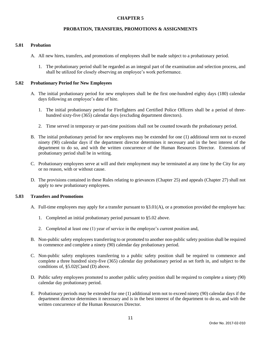# **PROBATION, TRANSFERS, PROMOTIONS & ASSIGNMENTS**

#### **5.01 Probation**

- A. All new hires, transfers, and promotions of employees shall be made subject to a probationary period.
	- 1. The probationary period shall be regarded as an integral part of the examination and selection process, and shall be utilized for closely observing an employee's work performance.

#### **5.02 Probationary Period for New Employees**

- A. The initial probationary period for new employees shall be the first one-hundred eighty days (180) calendar days following an employee's date of hire.
	- 1. The initial probationary period for Firefighters and Certified Police Officers shall be a period of threehundred sixty-five (365) calendar days (excluding department directors).
	- 2. Time served in temporary or part-time positions shall not be counted towards the probationary period.
- B. The initial probationary period for new employees may be extended for one (1) additional term not to exceed ninety (90) calendar days if the department director determines it necessary and in the best interest of the department to do so, and with the written concurrence of the Human Resources Director. Extensions of probationary period shall be in writing.
- C. Probationary employees serve at will and their employment may be terminated at any time by the City for any or no reason, with or without cause.
- D. The provisions contained in these Rules relating to grievances (Chapter 25) and appeals (Chapter 27) shall not apply to new probationary employees.

#### **5.03 Transfers and Promotions**

- A. Full-time employees may apply for a transfer pursuant to §3.01(A), or a promotion provided the employee has:
	- 1. Completed an initial probationary period pursuant to §5.02 above.
	- 2. Completed at least one (1) year of service in the employee's current position and,
- B. Non-public safety employees transferring to or promoted to another non-public safety position shall be required to commence and complete a ninety (90) calendar day probationary period.
- C. Non-public safety employees transferring to a public safety position shall be required to commence and complete a three hundred sixty-five (365) calendar day probationary period as set forth in, and subject to the conditions of, §5.02(C)and (D) above.
- D. Public safety employees promoted to another public safety position shall be required to complete a ninety (90) calendar day probationary period.
- E. Probationary periods may be extended for one (1) additional term not to exceed ninety (90) calendar days if the department director determines it necessary and is in the best interest of the department to do so, and with the written concurrence of the Human Resources Director.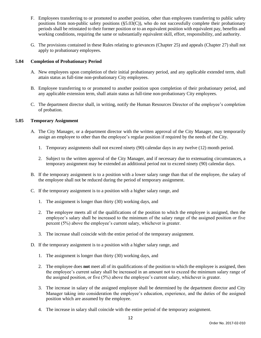- F. Employees transferring to or promoted to another position, other than employees transferring to public safety positions from non-public safety positions (§5.03(C)), who do not successfully complete their probationary periods shall be reinstated to their former position or to an equivalent position with equivalent pay, benefits and working conditions, requiring the same or substantially equivalent skill, effort, responsibility, and authority.
- G. The provisions contained in these Rules relating to grievances (Chapter 25) and appeals (Chapter 27) shall not apply to probationary employees.

# **5.04 Completion of Probationary Period**

- A. New employees upon completion of their initial probationary period, and any applicable extended term, shall attain status as full-time non-probationary City employees.
- B. Employee transferring to or promoted to another position upon completion of their probationary period, and any applicable extension term, shall attain status as full-time non-probationary City employees.
- C. The department director shall, in writing, notify the Human Resources Director of the employee's completion of probation.

# **5.05 Temporary Assignment**

- A. The City Manager, or a department director with the written approval of the City Manager, may temporarily assign an employee to other than the employee's regular position if required by the needs of the City.
	- 1. Temporary assignments shall not exceed ninety (90) calendar days in any twelve (12) month period.
	- 2. Subject to the written approval of the City Manager, and if necessary due to extenuating circumstances, a temporary assignment may be extended an additional period not to exceed ninety (90) calendar days.
- B. If the temporary assignment is to a position with a lower salary range than that of the employee, the salary of the employee shall not be reduced during the period of temporary assignment.
- C. If the temporary assignment is to a position with a higher salary range, and
	- 1. The assignment is longer than thirty (30) working days, and
	- 2. The employee meets all of the qualifications of the position to which the employee is assigned, then the employee's salary shall be increased to the minimum of the salary range of the assigned position or five percent (5%) above the employee's current salary, whichever is greater.
	- 3. The increase shall coincide with the entire period of the temporary assignment.
- D. If the temporary assignment is to a position with a higher salary range, and
	- 1. The assignment is longer than thirty (30) working days, and
	- 2. The employee does **not** meet all of its qualifications of the position to which the employee is assigned, then the employee's current salary shall be increased in an amount not to exceed the minimum salary range of the assigned position, or five (5%) above the employee's current salary, whichever is greater.
	- 3. The increase in salary of the assigned employee shall be determined by the department director and City Manager taking into consideration the employee's education, experience, and the duties of the assigned position which are assumed by the employee.
	- 4. The increase in salary shall coincide with the entire period of the temporary assignment.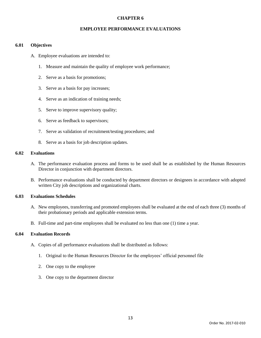#### **EMPLOYEE PERFORMANCE EVALUATIONS**

#### **6.01 Objectives**

- A. Employee evaluations are intended to:
	- 1. Measure and maintain the quality of employee work performance;
	- 2. Serve as a basis for promotions;
	- 3. Serve as a basis for pay increases;
	- 4. Serve as an indication of training needs;
	- 5. Serve to improve supervisory quality;
	- 6. Serve as feedback to supervisors;
	- 7. Serve as validation of recruitment/testing procedures; and
	- 8. Serve as a basis for job description updates.

# **6.02 Evaluations**

- A. The performance evaluation process and forms to be used shall be as established by the Human Resources Director in conjunction with department directors.
- B. Performance evaluations shall be conducted by department directors or designees in accordance with adopted written City job descriptions and organizational charts.

#### **6.03 Evaluations Schedules**

- A. New employees, transferring and promoted employees shall be evaluated at the end of each three (3) months of their probationary periods and applicable extension terms.
- B. Full-time and part-time employees shall be evaluated no less than one (1) time a year.

# **6.04 Evaluation Records**

- A. Copies of all performance evaluations shall be distributed as follows:
	- 1. Original to the Human Resources Director for the employees' official personnel file
	- 2. One copy to the employee
	- 3. One copy to the department director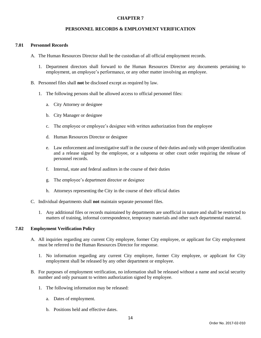### **PERSONNEL RECORDS & EMPLOYMENT VERIFICATION**

#### **7.01 Personnel Records**

- A. The Human Resources Director shall be the custodian of all official employment records.
	- 1. Department directors shall forward to the Human Resources Director any documents pertaining to employment, an employee's performance, or any other matter involving an employee.
- B. Personnel files shall **not** be disclosed except as required by law.
	- 1. The following persons shall be allowed access to official personnel files:
		- a. City Attorney or designee
		- b. City Manager or designee
		- c. The employee or employee's designee with written authorization from the employee
		- d. Human Resources Director or designee
		- e. Law enforcement and investigative staff in the course of their duties and only with proper identification and a release signed by the employee, or a subpoena or other court order requiring the release of personnel records.
		- f. Internal, state and federal auditors in the course of their duties
		- g. The employee's department director or designee
		- h. Attorneys representing the City in the course of their official duties
- C. Individual departments shall **not** maintain separate personnel files.
	- 1. Any additional files or records maintained by departments are unofficial in nature and shall be restricted to matters of training, informal correspondence, temporary materials and other such departmental material.

# **7.02 Employment Verification Policy**

- A. All inquiries regarding any current City employee, former City employee, or applicant for City employment must be referred to the Human Resources Director for response.
	- 1. No information regarding any current City employee, former City employee, or applicant for City employment shall be released by any other department or employee.
- B. For purposes of employment verification, no information shall be released without a name and social security number and only pursuant to written authorization signed by employee.
	- 1. The following information may be released:
		- a. Dates of employment.
		- b. Positions held and effective dates.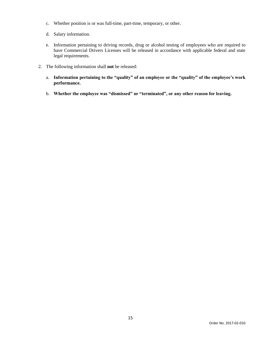- c. Whether position is or was full-time, part-time, temporary, or other.
- d. Salary information.
- e. Information pertaining to driving records, drug or alcohol testing of employees who are required to have Commercial Drivers Licenses will be released in accordance with applicable federal and state legal requirements.
- 2. The following information shall **not** be released:
	- a. **Information pertaining to the "quality" of an employee or the "quality" of the employee's work performance.**
	- b. **Whether the employee was "dismissed" or "terminated", or any other reason for leaving.**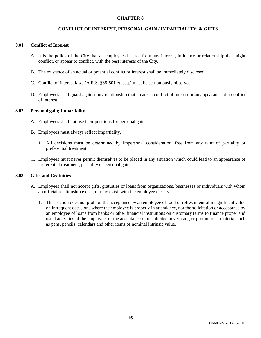### **CONFLICT OF INTEREST, PERSONAL GAIN / IMPARTIALITY, & GIFTS**

#### **8.01 Conflict of Interest**

- A. It is the policy of the City that all employees be free from any interest, influence or relationship that might conflict, or appear to conflict, with the best interests of the City.
- B. The existence of an actual or potential conflict of interest shall be immediately disclosed.
- C. Conflict of interest laws (A.R.S. §38-501 et. seq.) must be scrupulously observed.
- D. Employees shall guard against any relationship that creates a conflict of interest or an appearance of a conflict of interest.

#### **8.02 Personal gain; Impartiality**

- A. Employees shall not use their positions for personal gain.
- B. Employees must always reflect impartiality.
	- 1. All decisions must be determined by impersonal consideration, free from any taint of partiality or preferential treatment.
- C. Employees must never permit themselves to be placed in any situation which could lead to an appearance of preferential treatment, partiality or personal gain.

#### **8.03 Gifts and Gratuities**

- A. Employees shall not accept gifts, gratuities or loans from organizations, businesses or individuals with whom an official relationship exists, or may exist, with the employee or City.
	- 1. This section does not prohibit the acceptance by an employee of food or refreshment of insignificant value on infrequent occasions where the employee is properly in attendance, nor the solicitation or acceptance by an employee of loans from banks or other financial institutions on customary terms to finance proper and usual activities of the employee, or the acceptance of unsolicited advertising or promotional material such as pens, pencils, calendars and other items of nominal intrinsic value.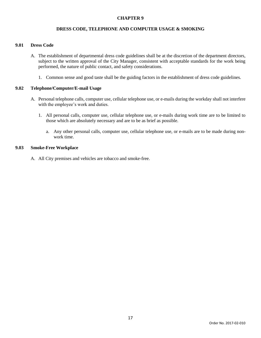### **DRESS CODE, TELEPHONE AND COMPUTER USAGE & SMOKING**

#### **9.01 Dress Code**

- A. The establishment of departmental dress code guidelines shall be at the discretion of the department directors, subject to the written approval of the City Manager, consistent with acceptable standards for the work being performed, the nature of public contact, and safety considerations.
	- 1. Common sense and good taste shall be the guiding factors in the establishment of dress code guidelines.

#### **9.02 Telephone/Computer/E-mail Usage**

- A. Personal telephone calls, computer use, cellular telephone use, or e-mails during the workday shall not interfere with the employee's work and duties.
	- 1. All personal calls, computer use, cellular telephone use, or e-mails during work time are to be limited to those which are absolutely necessary and are to be as brief as possible.
		- a. Any other personal calls, computer use, cellular telephone use, or e-mails are to be made during nonwork time.

#### **9.03 Smoke-Free Workplace**

A. All City premises and vehicles are tobacco and smoke-free.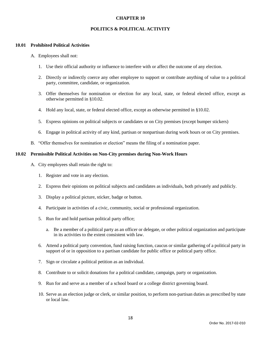#### **POLITICS & POLITICAL ACTIVITY**

#### **10.01 Prohibited Political Activities**

- A. Employees shall not:
	- 1. Use their official authority or influence to interfere with or affect the outcome of any election.
	- 2. Directly or indirectly coerce any other employee to support or contribute anything of value to a political party, committee, candidate, or organization.
	- 3. Offer themselves for nomination or election for any local, state, or federal elected office, except as otherwise permitted in §10.02.
	- 4. Hold any local, state, or federal elected office, except as otherwise permitted in §10.02.
	- 5. Express opinions on political subjects or candidates or on City premises (except bumper stickers)
	- 6. Engage in political activity of any kind, partisan or nonpartisan during work hours or on City premises.
- B. "Offer themselves for nomination or election" means the filing of a nomination paper.

#### **10.02 Permissible Political Activities on Non-City premises during Non-Work Hours**

- A. City employees shall retain the right to:
	- 1. Register and vote in any election.
	- 2. Express their opinions on political subjects and candidates as individuals, both privately and publicly.
	- 3. Display a political picture, sticker, badge or button.
	- 4. Participate in activities of a civic, community, social or professional organization.
	- 5. Run for and hold partisan political party office;
		- a. Be a member of a political party as an officer or delegate, or other political organization and participate in its activities to the extent consistent with law.
	- 6. Attend a political party convention, fund raising function, caucus or similar gathering of a political party in support of or in opposition to a partisan candidate for public office or political party office.
	- 7. Sign or circulate a political petition as an individual.
	- 8. Contribute to or solicit donations for a political candidate, campaign, party or organization.
	- 9. Run for and serve as a member of a school board or a college district governing board.
	- 10. Serve as an election judge or clerk, or similar position, to perform non-partisan duties as prescribed by state or local law.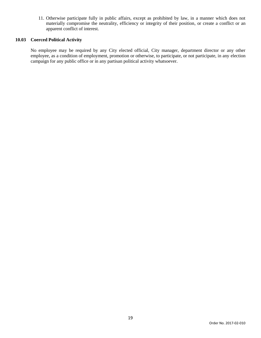11. Otherwise participate fully in public affairs, except as prohibited by law, in a manner which does not materially compromise the neutrality, efficiency or integrity of their position, or create a conflict or an apparent conflict of interest.

#### **10.03 Coerced Political Activity**

No employee may be required by any City elected official, City manager, department director or any other employee, as a condition of employment, promotion or otherwise, to participate, or not participate, in any election campaign for any public office or in any partisan political activity whatsoever.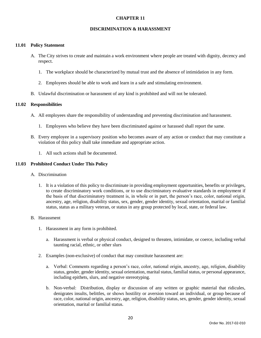#### **DISCRIMINATION & HARASSMENT**

#### **11.01 Policy Statement**

- A. The City strives to create and maintain a work environment where people are treated with dignity, decency and respect.
	- 1. The workplace should be characterized by mutual trust and the absence of intimidation in any form.
	- 2. Employees should be able to work and learn in a safe and stimulating environment.
- B. Unlawful discrimination or harassment of any kind is prohibited and will not be tolerated.

#### **11.02 Responsibilities**

- A. All employees share the responsibility of understanding and preventing discrimination and harassment.
	- 1. Employees who believe they have been discriminated against or harassed shall report the same.
- B. Every employee in a supervisory position who becomes aware of any action or conduct that may constitute a violation of this policy shall take immediate and appropriate action.
	- 1. All such actions shall be documented.

#### **11.03 Prohibited Conduct Under This Policy**

- A. Discrimination
	- 1. It is a violation of this policy to discriminate in providing employment opportunities, benefits or privileges, to create discriminatory work conditions, or to use discriminatory evaluative standards in employment if the basis of that discriminatory treatment is, in whole or in part, the person's race, color, national origin, ancestry, age, religion, disability status, sex, gender, gender identity, sexual orientation, marital or familial status, status as a military veteran, or status in any group protected by local, state, or federal law.

#### B. Harassment

- 1. Harassment in any form is prohibited.
	- a. Harassment is verbal or physical conduct, designed to threaten, intimidate, or coerce, including verbal taunting racial, ethnic, or other slurs
- 2. Examples (non-exclusive) of conduct that may constitute harassment are:
	- a. Verbal: Comments regarding a person's race, color, national origin, ancestry, age, religion, disability status, gender, gender identity, sexual orientation, marital status, familial status, or personal appearance, including epithets, slurs, and negative stereotyping.
	- b. Non-verbal: Distribution, display or discussion of any written or graphic material that ridicules, denigrates insults, belittles, or shows hostility or aversion toward an individual, or group because of race, color, national origin, ancestry, age, religion, disability status, sex, gender, gender identity, sexual orientation, marital or familial status.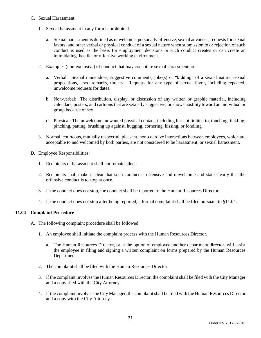# C. Sexual Harassment

- 1. Sexual harassment in any form is prohibited.
	- a. Sexual harassment is defined as unwelcome, personally offensive, sexual advances, requests for sexual favors, and other verbal or physical conduct of a sexual nature when submission to or rejection of such conduct is used as the basis for employment decisions or such conduct creates or can create an intimidating, hostile, or offensive working environment.
- 2. Examples (non-exclusive) of conduct that may constitute sexual harassment are:
	- a. Verbal: Sexual innuendoes, suggestive comments, joke(s) or "kidding" of a sexual nature, sexual propositions, lewd remarks, threats. Requests for any type of sexual favor, including repeated, unwelcome requests for dates.
	- b. Non-verbal: The distribution, display, or discussion of any written or graphic material, including calendars, posters, and cartoons that are sexually suggestive, or shows hostility toward an individual or group because of sex.
	- c. Physical: The unwelcome, unwanted physical contact, including but not limited to, touching, tickling, pinching, patting, brushing up against, hugging, cornering, kissing, or fondling.
- 3. Normal, courteous, mutually respectful, pleasant, non-coercive interactions between employees, which are acceptable to and welcomed by both parties, are not considered to be harassment, or sexual harassment.
- D. Employee Responsibilities:
	- 1. Recipients of harassment shall not remain silent.
	- 2. Recipients shall make it clear that such conduct is offensive and unwelcome and state clearly that the offensive conduct is to stop at once.
	- 3. If the conduct does not stop, the conduct shall be reported to the Human Resources Director.
	- 4. If the conduct does not stop after being reported, a formal complaint shall be filed pursuant to §11.04.

# **11.04 Complaint Procedure**

- A. The following complaint procedure shall be followed:
	- 1. An employee shall initiate the complaint process with the Human Resources Director.
		- a. The Human Resources Director, or at the option of employee another department director, will assist the employee in filing and signing a written complaint on forms prepared by the Human Resources Department.
	- 2. The complaint shall be filed with the Human Resources Director.
	- 3. If the complaint involves the Human Resources Director, the complaint shall be filed with the City Manager and a copy filed with the City Attorney.
	- 4. If the complaint involves the City Manager, the complaint shall be filed with the Human Resources Director and a copy with the City Attorney.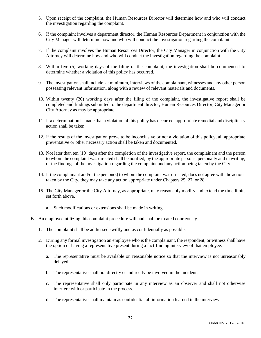- 5. Upon receipt of the complaint, the Human Resources Director will determine how and who will conduct the investigation regarding the complaint.
- 6. If the complaint involves a department director, the Human Resources Department in conjunction with the City Manager will determine how and who will conduct the investigation regarding the complaint.
- 7. If the complaint involves the Human Resources Director, the City Manager in conjunction with the City Attorney will determine how and who will conduct the investigation regarding the complaint.
- 8. Within five (5) working days of the filing of the complaint, the investigation shall be commenced to determine whether a violation of this policy has occurred.
- 9. The investigation shall include, at minimum, interviews of the complainant, witnesses and any other person possessing relevant information, along with a review of relevant materials and documents.
- 10. Within twenty (20) working days after the filing of the complaint, the investigative report shall be completed and findings submitted to the department director, Human Resources Director, City Manager or City Attorney as may be appropriate.
- 11. If a determination is made that a violation of this policy has occurred, appropriate remedial and disciplinary action shall be taken.
- 12. If the results of the investigation prove to be inconclusive or not a violation of this policy, all appropriate preventative or other necessary action shall be taken and documented.
- 13. Not later than ten (10) days after the completion of the investigative report, the complainant and the person to whom the complaint was directed shall be notified, by the appropriate persons, personally and in writing, of the findings of the investigation regarding the complaint and any action being taken by the City.
- 14. If the complainant and/or the person(s) to whom the complaint was directed, does not agree with the actions taken by the City, they may take any action appropriate under Chapters 25, 27, or 28.
- 15. The City Manager or the City Attorney, as appropriate, may reasonably modify and extend the time limits set forth above.
	- a. Such modifications or extensions shall be made in writing.
- B. An employee utilizing this complaint procedure will and shall be treated courteously.
	- 1. The complaint shall be addressed swiftly and as confidentially as possible.
	- 2. During any formal investigation an employee who is the complainant, the respondent, or witness shall have the option of having a representative present during a fact-finding interview of that employee.
		- a. The representative must be available on reasonable notice so that the interview is not unreasonably delayed.
		- b. The representative shall not directly or indirectly be involved in the incident.
		- c. The representative shall only participate in any interview as an observer and shall not otherwise interfere with or participate in the process.
		- d. The representative shall maintain as confidential all information learned in the interview.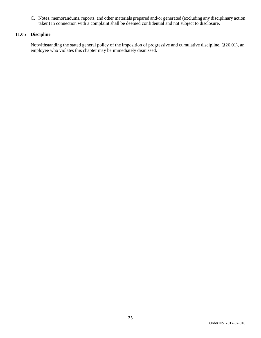C. Notes, memorandums, reports, and other materials prepared and/or generated (excluding any disciplinary action taken) in connection with a complaint shall be deemed confidential and not subject to disclosure.

# **11.05 Discipline**

Notwithstanding the stated general policy of the imposition of progressive and cumulative discipline, (§26.01), an employee who violates this chapter may be immediately dismissed.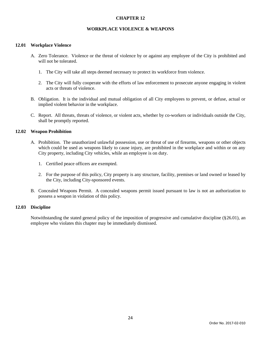#### **WORKPLACE VIOLENCE & WEAPONS**

#### **12.01 Workplace Violence**

- A. Zero Tolerance. Violence or the threat of violence by or against any employee of the City is prohibited and will not be tolerated.
	- 1. The City will take all steps deemed necessary to protect its workforce from violence.
	- 2. The City will fully cooperate with the efforts of law enforcement to prosecute anyone engaging in violent acts or threats of violence.
- B. Obligation. It is the individual and mutual obligation of all City employees to prevent, or defuse, actual or implied violent behavior in the workplace.
- C. Report. All threats, threats of violence, or violent acts, whether by co-workers or individuals outside the City, shall be promptly reported.

#### **12.02 Weapon Prohibition**

- A. Prohibition. The unauthorized unlawful possession, use or threat of use of firearms, weapons or other objects which could be used as weapons likely to cause injury, are prohibited in the workplace and within or on any City property, including City vehicles, while an employee is on duty.
	- 1. Certified peace officers are exempted.
	- 2. For the purpose of this policy, City property is any structure, facility, premises or land owned or leased by the City, including City-sponsored events.
- B. Concealed Weapons Permit. A concealed weapons permit issued pursuant to law is not an authorization to possess a weapon in violation of this policy.

#### **12.03 Discipline**

Notwithstanding the stated general policy of the imposition of progressive and cumulative discipline (§26.01), an employee who violates this chapter may be immediately dismissed.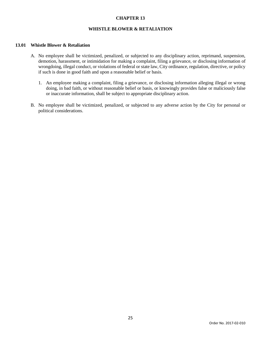# **WHISTLE BLOWER & RETALIATION**

#### **13.01 Whistle Blower & Retaliation**

- A. No employee shall be victimized, penalized, or subjected to any disciplinary action, reprimand, suspension, demotion, harassment, or intimidation for making a complaint, filing a grievance, or disclosing information of wrongdoing, illegal conduct, or violations of federal or state law, City ordinance, regulation, directive, or policy if such is done in good faith and upon a reasonable belief or basis.
	- 1. An employee making a complaint, filing a grievance, or disclosing information alleging illegal or wrong doing, in bad faith, or without reasonable belief or basis, or knowingly provides false or maliciously false or inaccurate information, shall be subject to appropriate disciplinary action.
- B. No employee shall be victimized, penalized, or subjected to any adverse action by the City for personal or political considerations.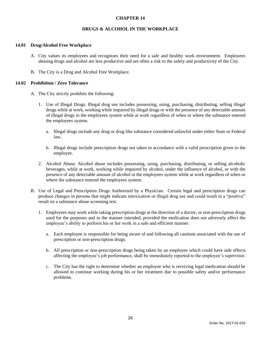#### **DRUGS & ALCOHOL IN THE WORKPLACE**

#### **14.01 Drug/Alcohol Free Workplace**

- A. City values its employees and recognizes their need for a safe and healthy work environment. Employees abusing drugs and alcohol are less productive and are often a risk to the safety and productivity of the City.
- B. The City is a Drug and Alcohol Free Workplace.

#### **14.02 Prohibition / Zero Tolerance**

- A. The City strictly prohibits the following:
	- 1. Use of Illegal Drugs. Illegal drug use includes possessing, using, purchasing, distributing, selling illegal drugs while at work, working while impaired by illegal drugs or with the presence of any detectable amount of illegal drugs in the employees system while at work regardless of when or where the substance entered the employees system.
		- a. Illegal drugs include any drug or drug like substance considered unlawful under either State or Federal law.
		- b. Illegal drugs include prescription drugs not taken in accordance with a valid prescription given to the employee.
	- 2. Alcohol Abuse. Alcohol abuse includes possessing, using, purchasing, distributing, or selling alcoholic beverages, while at work, working while impaired by alcohol, under the influence of alcohol, or with the presence of any detectable amount of alcohol in the employees system while at work regardless of when or where the substance entered the employees system.
- B. Use of Legal and Prescription Drugs Authorized by a Physician. Certain legal and prescription drugs can produce changes in persons that might indicate intoxication or illegal drug use and could result in a "positive" result on a substance abuse screening test.
	- 1. Employees may work while taking prescription drugs at the direction of a doctor, or non-prescription drugs used for the purposes and in the manner intended, provided the medication does not adversely affect the employee's ability to perform his or her work in a safe and efficient manner.
		- a. Each employee is responsible for being aware of and following all cautions associated with the use of prescription or non-prescription drugs.
		- b. All prescription or non-prescription drugs being taken by an employee which could have side effects affecting the employee's job performance, shall be immediately reported to the employee's supervisor.
		- c. The City has the right to determine whether an employee who is receiving legal medication should be allowed to continue working during his or her treatment due to possible safety and/or performance problems.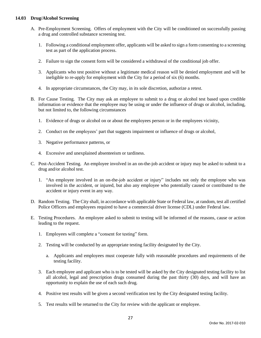# **14.03 Drug/Alcohol Screening**

- A. Pre-Employment Screening. Offers of employment with the City will be conditioned on successfully passing a drug and controlled substance screening test.
	- 1. Following a conditional employment offer, applicants will be asked to sign a form consenting to a screening test as part of the application process.
	- 2. Failure to sign the consent form will be considered a withdrawal of the conditional job offer.
	- 3. Applicants who test positive without a legitimate medical reason will be denied employment and will be ineligible to re-apply for employment with the City for a period of six (6) months.
	- 4. In appropriate circumstances, the City may, in its sole discretion, authorize a retest.
- B. For Cause Testing. The City may ask an employee to submit to a drug or alcohol test based upon credible information or evidence that the employee may be using or under the influence of drugs or alcohol, including, but not limited to, the following circumstances
	- 1. Evidence of drugs or alcohol on or about the employees person or in the employees vicinity,
	- 2. Conduct on the employees' part that suggests impairment or influence of drugs or alcohol,
	- 3. Negative performance patterns, or
	- 4. Excessive and unexplained absenteeism or tardiness.
- C. Post-Accident Testing. An employee involved in an on-the-job accident or injury may be asked to submit to a drug and/or alcohol test.
	- 1. "An employee involved in an on-the-job accident or injury" includes not only the employee who was involved in the accident, or injured, but also any employee who potentially caused or contributed to the accident or injury event in any way.
- D. Random Testing. The City shall, in accordance with applicable State or Federal law, at random, test all certified Police Officers and employees required to have a commercial driver license (CDL) under Federal law.
- E. Testing Procedures. An employee asked to submit to testing will be informed of the reasons, cause or action leading to the request.
	- 1. Employees will complete a "consent for testing" form.
	- 2. Testing will be conducted by an appropriate testing facility designated by the City.
		- a. Applicants and employees must cooperate fully with reasonable procedures and requirements of the testing facility.
	- 3. Each employee and applicant who is to be tested will be asked by the City designated testing facility to list all alcohol, legal and prescription drugs consumed during the past thirty (30) days, and will have an opportunity to explain the use of each such drug.
	- 4. Positive test results will be given a second verification test by the City designated testing facility.
	- 5. Test results will be returned to the City for review with the applicant or employee.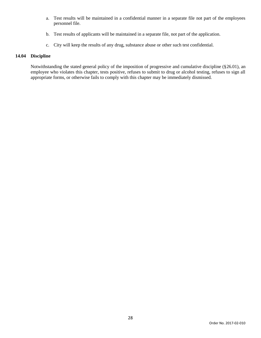- a. Test results will be maintained in a confidential manner in a separate file not part of the employees personnel file.
- b. Test results of applicants will be maintained in a separate file, not part of the application.
- c. City will keep the results of any drug, substance abuse or other such test confidential.

# **14.04 Discipline**

Notwithstanding the stated general policy of the imposition of progressive and cumulative discipline (§26.01), an employee who violates this chapter, tests positive, refuses to submit to drug or alcohol testing, refuses to sign all appropriate forms, or otherwise fails to comply with this chapter may be immediately dismissed.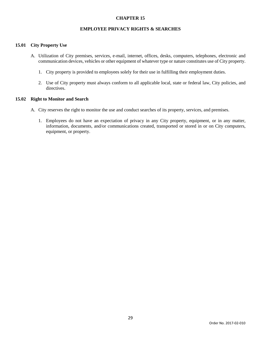# **EMPLOYEE PRIVACY RIGHTS & SEARCHES**

#### **15.01 City Property Use**

- A. Utilization of City premises, services, e-mail, internet, offices, desks, computers, telephones, electronic and communication devices, vehicles or other equipment of whatever type or nature constitutes use of City property.
	- 1. City property is provided to employees solely for their use in fulfilling their employment duties.
	- 2. Use of City property must always conform to all applicable local, state or federal law, City policies, and directives.

#### **15.02 Right to Monitor and Search**

- A. City reserves the right to monitor the use and conduct searches of its property, services, and premises.
	- 1. Employees do not have an expectation of privacy in any City property, equipment, or in any matter, information, documents, and/or communications created, transported or stored in or on City computers, equipment, or property.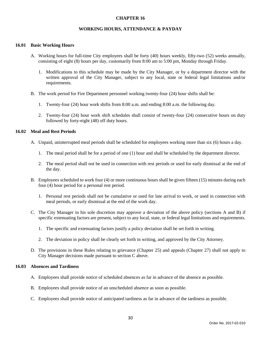#### **WORKING HOURS, ATTENDANCE & PAYDAY**

#### **16.01 Basic Working Hours**

- A. Working hours for full-time City employees shall be forty (40) hours weekly, fifty-two (52) weeks annually, consisting of eight (8) hours per day, customarily from 8:00 am to 5:00 pm, Monday through Friday.
	- 1. Modifications to this schedule may be made by the City Manager, or by a department director with the written approval of the City Manager, subject to any local, state or federal legal limitations and/or requirements.
- B. The work period for Fire Department personnel working twenty-four (24) hour shifts shall be:
	- 1. Twenty-four (24) hour work shifts from 8:00 a.m. and ending 8:00 a.m. the following day.
	- 2. Twenty-four (24) hour work shift schedules shall consist of twenty-four (24) consecutive hours on duty followed by forty-eight (48) off duty hours.

#### **16.02 Meal and Rest Periods**

- A. Unpaid, uninterrupted meal periods shall be scheduled for employees working more than six (6) hours a day.
	- 1. The meal period shall be for a period of one (1) hour and shall be scheduled by the department director.
	- 2. The meal period shall not be used in connection with rest periods or used for early dismissal at the end of the day.
- B. Employees scheduled to work four (4) or more continuous hours shall be given fifteen (15) minutes during each four (4) hour period for a personal rest period.
	- 1. Personal rest periods shall not be cumulative or used for late arrival to work, or used in connection with meal periods, or early dismissal at the end of the work day.
- C. The City Manager in his sole discretion may approve a deviation of the above policy (sections A and B) if specific extenuating factors are present, subject to any local, state, or federal legal limitations and requirements.
	- 1. The specific and extenuating factors justify a policy deviation shall be set forth in writing.
	- 2. The deviation in policy shall be clearly set forth in writing, and approved by the City Attorney.
- D. The provisions in these Rules relating to grievance (Chapter 25) and appeals (Chapter 27) shall not apply to City Manager decisions made pursuant to section C above.

#### **16.03 Absences and Tardiness**

- A. Employees shall provide notice of scheduled absences as far in advance of the absence as possible.
- B. Employees shall provide notice of an unscheduled absence as soon as possible.
- C. Employees shall provide notice of anticipated tardiness as far in advance of the tardiness as possible.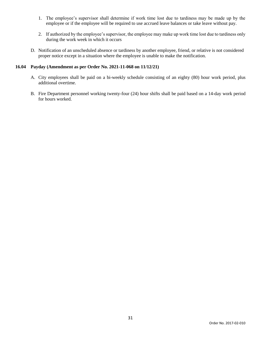- 1. The employee's supervisor shall determine if work time lost due to tardiness may be made up by the employee or if the employee will be required to use accrued leave balances or take leave without pay.
- 2. If authorized by the employee's supervisor, the employee may make up work time lost due to tardiness only during the work week in which it occurs
- D. Notification of an unscheduled absence or tardiness by another employee, friend, or relative is not considered proper notice except in a situation where the employee is unable to make the notification.

# **16.04 Payday (Amendment as per Order No. 2021-11-068 on 11/12/21)**

- A. City employees shall be paid on a bi-weekly schedule consisting of an eighty (80) hour work period, plus additional overtime.
- B. Fire Department personnel working twenty-four (24) hour shifts shall be paid based on a 14-day work period for hours worked.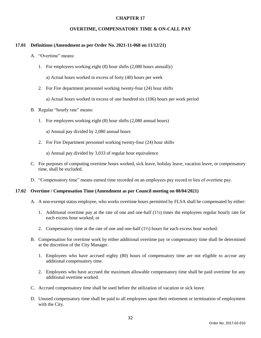#### **OVERTIME, COMPENSATORY TIME & ON-CALL PAY**

#### **17.01 Definitions (Amendment as per Order No. 2021-11-068 on 11/12/21)**

- A. "Overtime" means:
	- 1. For employees working eight (8) hour shifts (2,080 hours annually)

a) Actual hours worked in excess of forty (40) hours per week

2. For Fire department personnel working twenty-four (24) hour shifts

a) Actual hours worked in excess of one hundred six (106) hours per work period

- B. Regular "hourly rate" means:
	- 1. For employees working eight (8) hour shifts (2,080 annual hours)

a) Annual pay divided by 2,080 annual hours

2. For Fire Department personnel working twenty-four (24) hour shifts

a) Annual pay divided by 3,033 of regular hour equivalence

- C. For purposes of computing overtime hours worked, sick leave, holiday leave, vacation leave, or compensatory time, shall be excluded.
- D. "Compensatory time" means earned time recorded on an employees pay record in lieu of overtime pay.

#### **17.02 Overtime / Compensation Time (Amendment as per Council meeting on 08/04/2021)**

- A. A non-exempt status employee, who works overtime hours permitted by FLSA shall be compensated by either:
	- 1. Additional overtime pay at the rate of one and one-half (1½) times the employees regular hourly rate for each excess hour worked; or
	- 2. Compensatory time at the rate of one and one-half (1½) hours for each excess hour worked.
- B. Compensation for overtime work by either additional overtime pay or compensatory time shall be determined at the discretion of the City Manager.
	- 1. Employees who have accrued eighty (80) hours of compensatory time are not eligible to accrue any additional compensatory time.
	- 2. Employees who have accrued the maximum allowable compensatory time shall be paid overtime for any additional overtime worked.
- C. Accrued compensatory time shall be used before the utilization of vacation or sick leave.
- D. Unused compensatory time shall be paid to all employees upon their retirement or termination of employment with the City.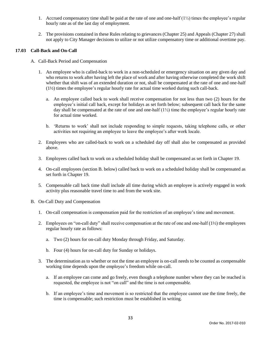- 1. Accrued compensatory time shall be paid at the rate of one and one-half  $(1/2)$  times the employee's regular hourly rate as of the last day of employment.
- 2. The provisions contained in these Rules relating to grievances (Chapter 25) and Appeals (Chapter 27) shall not apply to City Manager decisions to utilize or not utilize compensatory time or additional overtime pay.

# **17.03 Call-Back and On-Call**

- A. Call-Back Period and Compensation
	- 1. An employee who is called-back to work in a non-scheduled or emergency situation on any given day and who returns to work after having left the place of work and after having otherwise completed the work shift whether that shift was of an extended duration or not, shall be compensated at the rate of one and one-half (1½) times the employee's regular hourly rate for actual time worked during such call-back.
		- a. An employee called back to work shall receive compensation for not less than two (2) hours for the employee's initial call back, except for holidays as set forth below; subsequent call back for the same day shall be compensated at the rate of one and one-half  $(1\frac{1}{2})$  time the employee's regular hourly rate for actual time worked.
		- b. 'Returns to work' shall not include responding to simple requests, taking telephone calls, or other activities not requiring an employee to leave the employee's after work locale.
	- 2. Employees who are called-back to work on a scheduled day off shall also be compensated as provided above.
	- 3. Employees called back to work on a scheduled holiday shall be compensated as set forth in Chapter 19.
	- 4. On-call employees (section B. below) called back to work on a scheduled holiday shall be compensated as set forth in Chapter 19.
	- 5. Compensable call back time shall include all time during which an employee is actively engaged in work activity plus reasonable travel time to and from the work site.
- B. On-Call Duty and Compensation
	- 1. On-call compensation is compensation paid for the restriction of an employee's time and movement.
	- 2. Employees on "on-call duty" shall receive compensation at the rate of one and one-half (1½) the employees regular hourly rate as follows:
		- a. Two (2) hours for on-call duty Monday through Friday, and Saturday.
		- b. Four (4) hours for on-call duty for Sunday or holidays.
	- 3. The determination as to whether or not the time an employee is on-call needs to be counted as compensable working time depends upon the employee's freedom while on-call.
		- a. If an employee can come and go freely, even though a telephone number where they can be reached is requested, the employee is not "on call" and the time is not compensable.
		- b. If an employee's time and movement is so restricted that the employee cannot use the time freely, the time is compensable; such restriction must be established in writing.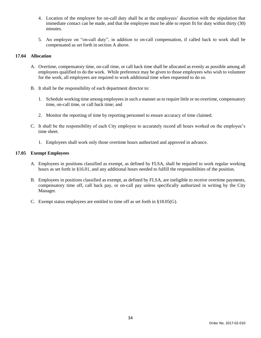- 4. Location of the employee for on-call duty shall be at the employees' discretion with the stipulation that immediate contact can be made, and that the employee must be able to report fit for duty within thirty (30) minutes.
- 5. An employee on "on-call duty", in addition to on-call compensation, if called back to work shall be compensated as set forth in section A above.

# **17.04 Allocation**

- A. Overtime, compensatory time, on-call time, or call back time shall be allocated as evenly as possible among all employees qualified to do the work. While preference may be given to those employees who wish to volunteer for the work, all employees are required to work additional time when requested to do so.
- B. It shall be the responsibility of each department director to:
	- 1. Schedule working time among employees in such a manner as to require little or no overtime, compensatory time, on-call time, or call back time; and
	- 2. Monitor the reporting of time by reporting personnel to ensure accuracy of time claimed.
- C. It shall be the responsibility of each City employee to accurately record all hours worked on the employee's time sheet.
	- 1. Employees shall work only those overtime hours authorized and approved in advance.

# **17.05 Exempt Employees**

- A. Employees in positions classified as exempt, as defined by FLSA, shall be required to work regular working hours as set forth in §16.01, and any additional hours needed to fulfill the responsibilities of the position.
- B. Employees in positions classified as exempt, as defined by FLSA, are ineligible to receive overtime payments, compensatory time off, call back pay, or on-call pay unless specifically authorized in writing by the City Manager.
- C. Exempt status employees are entitled to time off as set forth in §18.05(G).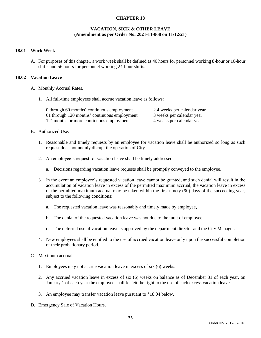# **VACATION, SICK & OTHER LEAVE (Amendment as per Order No. 2021-11-068 on 11/12/21)**

### **18.01 Work Week**

A. For purposes of this chapter, a work week shall be defined as 40 hours for personnel working 8-hour or 10-hour shifts and 56 hours for personnel working 24-hour shifts.

### **18.02 Vacation Leave**

- A. Monthly Accrual Rates.
	- 1. All full-time employees shall accrue vacation leave as follows:

| 0 through 60 months' continuous employment   | 2.4 weeks per calendar year |
|----------------------------------------------|-----------------------------|
| 61 through 120 months' continuous employment | 3 weeks per calendar year   |
| 121 months or more continuous employment     | 4 weeks per calendar year   |

## B. Authorized Use.

- 1. Reasonable and timely requests by an employee for vacation leave shall be authorized so long as such request does not unduly disrupt the operation of City.
- 2. An employee's request for vacation leave shall be timely addressed.
	- a. Decisions regarding vacation leave requests shall be promptly conveyed to the employee.
- 3. In the event an employee's requested vacation leave cannot be granted, and such denial will result in the accumulation of vacation leave in excess of the permitted maximum accrual, the vacation leave in excess of the permitted maximum accrual may be taken within the first ninety (90) days of the succeeding year, subject to the following conditions:
	- a. The requested vacation leave was reasonably and timely made by employee,
	- b. The denial of the requested vacation leave was not due to the fault of employee,
	- c. The deferred use of vacation leave is approved by the department director and the City Manager.
- 4. New employees shall be entitled to the use of accrued vacation leave only upon the successful completion of their probationary period.
- C. Maximum accrual.
	- 1. Employees may not accrue vacation leave in excess of six (6) weeks.
	- 2. Any accrued vacation leave in excess of six (6) weeks on balance as of December 31 of each year, on January 1 of each year the employee shall forfeit the right to the use of such excess vacation leave.
	- 3. An employee may transfer vacation leave pursuant to §18.04 below.
- D. Emergency Sale of Vacation Hours.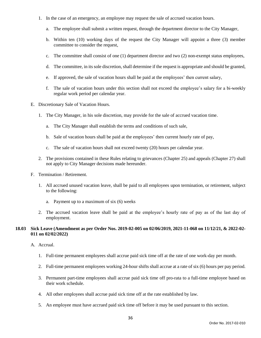- 1. In the case of an emergency, an employee may request the sale of accrued vacation hours.
	- a. The employee shall submit a written request, through the department director to the City Manager,
	- b. Within ten (10) working days of the request the City Manager will appoint a three (3) member committee to consider the request,
	- c. The committee shall consist of one (1) department director and two (2) non-exempt status employees,
	- d. The committee, in its sole discretion, shall determine if the request is appropriate and should be granted,
	- e. If approved, the sale of vacation hours shall be paid at the employees' then current salary,
	- f. The sale of vacation hours under this section shall not exceed the employee's salary for a bi-weekly regular work period per calendar year.
- E. Discretionary Sale of Vacation Hours.
	- 1. The City Manager, in his sole discretion, may provide for the sale of accrued vacation time.
		- a. The City Manager shall establish the terms and conditions of such sale,
		- b. Sale of vacation hours shall be paid at the employees' then current hourly rate of pay,
		- c. The sale of vacation hours shall not exceed twenty (20) hours per calendar year.
	- 2. The provisions contained in these Rules relating to grievances (Chapter 25) and appeals (Chapter 27) shall not apply to City Manager decisions made hereunder.
- F. Termination / Retirement.
	- 1. All accrued unused vacation leave, shall be paid to all employees upon termination, or retirement, subject to the following:
		- a. Payment up to a maximum of six (6) weeks
	- 2. The accrued vacation leave shall be paid at the employee's hourly rate of pay as of the last day of employment.

### **18.03 Sick Leave (Amendment as per Order Nos. 2019-02-005 on 02/06/2019, 2021-11-068 on 11/12/21, & 2022-02- 011 on 02/02/2022)**

- A. Accrual.
	- 1. Full-time permanent employees shall accrue paid sick time off at the rate of one work-day per month.
	- 2. Full-time permanent employees working 24-hour shifts shall accrue at a rate of six (6) hours per pay period.
	- 3. Permanent part-time employees shall accrue paid sick time off pro-rata to a full-time employee based on their work schedule.
	- 4. All other employees shall accrue paid sick time off at the rate established by law.
	- 5. An employee must have accrued paid sick time off before it may be used pursuant to this section.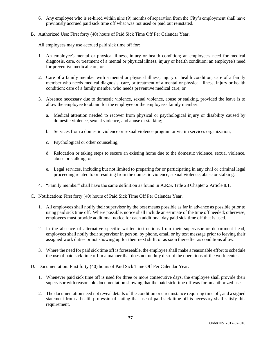- 6. Any employee who is re-hired within nine (9) months of separation from the City's employment shall have previously accrued paid sick time off what was not used or paid out reinstated.
- B. Authorized Use: First forty (40) hours of Paid Sick Time Off Per Calendar Year.

All employees may use accrued paid sick time off for:

- 1. An employee's mental or physical illness, injury or health condition; an employee's need for medical diagnosis, care, or treatment of a mental or physical illness, injury or health condition; an employee's need for preventive medical care; or
- 2. Care of a family member with a mental or physical illness, injury or health condition; care of a family member who needs medical diagnosis, care, or treatment of a mental or physical illness, injury or health condition; care of a family member who needs preventive medical care; or
- 3. Absence necessary due to domestic violence, sexual violence, abuse or stalking, provided the leave is to allow the employee to obtain for the employee or the employee's family member:
	- a. Medical attention needed to recover from physical or psychological injury or disability caused by domestic violence, sexual violence, and abuse or stalking;
	- b. Services from a domestic violence or sexual violence program or victim services organization;
	- c. Psychological or other counseling;
	- d. Relocation or taking steps to secure an existing home due to the domestic violence, sexual violence, abuse or stalking; or
	- e. Legal services, including but not limited to preparing for or participating in any civil or criminal legal proceeding related to or resulting from the domestic violence, sexual violence, abuse or stalking.
- 4. "Family member" shall have the same definition as found in A.R.S. Title 23 Chapter 2 Article 8.1.
- C. Notification: First forty (40) hours of Paid Sick Time Off Per Calendar Year.
	- 1. All employees shall notify their supervisor by the best means possible as far in advance as possible prior to using paid sick time off. Where possible, notice shall include an estimate of the time off needed; otherwise, employees must provide additional notice for each additional day paid sick time off that is used.
	- 2. In the absence of alternative specific written instructions from their supervisor or department head, employees shall notify their supervisor in person, by phone, email or by text message prior to leaving their assigned work duties or not showing up for their next shift, or as soon thereafter as conditions allow.
	- 3. Where the need for paid sick time off is foreseeable, the employee shall make a reasonable effort to schedule the use of paid sick time off in a manner that does not unduly disrupt the operations of the work center.
- D. Documentation: First forty (40) hours of Paid Sick Time Off Per Calendar Year.
	- 1. Whenever paid sick time off is used for three or more consecutive days, the employee shall provide their supervisor with reasonable documentation showing that the paid sick time off was for an authorized use.
	- 2. The documentation need not reveal details of the condition or circumstance requiring time off, and a signed statement from a health professional stating that use of paid sick time off is necessary shall satisfy this requirement.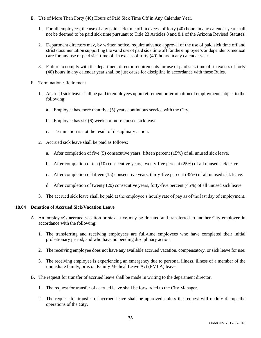- E. Use of More Than Forty (40) Hours of Paid Sick Time Off in Any Calendar Year.
	- 1. For all employees, the use of any paid sick time off in excess of forty (40) hours in any calendar year shall not be deemed to be paid sick time pursuant to Title 23 Articles 8 and 8.1 of the Arizona Revised Statutes.
	- 2. Department directors may, by written notice, require advance approval of the use of paid sick time off and strict documentation supporting the valid use of paid sick time off for the employee's or dependents medical care for any use of paid sick time off in excess of forty (40) hours in any calendar year.
	- 3. Failure to comply with the department director requirements for use of paid sick time off in excess of forty (40) hours in any calendar year shall be just cause for discipline in accordance with these Rules.
- F. Termination / Retirement
	- 1. Accrued sick leave shall be paid to employees upon retirement or termination of employment subject to the following:
		- a. Employee has more than five (5) years continuous service with the City,
		- b. Employee has six (6) weeks or more unused sick leave,
		- c. Termination is not the result of disciplinary action.
	- 2. Accrued sick leave shall be paid as follows:
		- a. After completion of five (5) consecutive years, fifteen percent (15%) of all unused sick leave.
		- b. After completion of ten (10) consecutive years, twenty-five percent (25%) of all unused sick leave.
		- c. After completion of fifteen (15) consecutive years, thirty-five percent (35%) of all unused sick leave.
		- d. After completion of twenty (20) consecutive years, forty-five percent (45%) of all unused sick leave.
	- 3. The accrued sick leave shall be paid at the employee's hourly rate of pay as of the last day of employment.

## **18.04 Donation of Accrued Sick/Vacation Leave**

- A. An employee's accrued vacation or sick leave may be donated and transferred to another City employee in accordance with the following:
	- 1. The transferring and receiving employees are full-time employees who have completed their initial probationary period, and who have no pending disciplinary action;
	- 2. The receiving employee does not have any available accrued vacation, compensatory, or sick leave for use;
	- 3. The receiving employee is experiencing an emergency due to personal illness, illness of a member of the immediate family, or is on Family Medical Leave Act (FMLA) leave.
- B. The request for transfer of accrued leave shall be made in writing to the department director.
	- 1. The request for transfer of accrued leave shall be forwarded to the City Manager.
	- 2. The request for transfer of accrued leave shall be approved unless the request will unduly disrupt the operations of the City.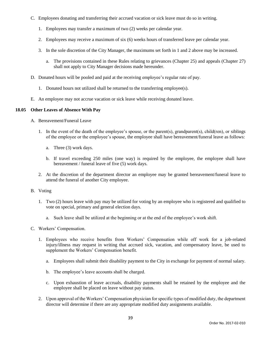- C. Employees donating and transferring their accrued vacation or sick leave must do so in writing.
	- 1. Employees may transfer a maximum of two (2) weeks per calendar year.
	- 2. Employees may receive a maximum of six (6) weeks hours of transferred leave per calendar year.
	- 3. In the sole discretion of the City Manager, the maximums set forth in 1 and 2 above may be increased.
		- a. The provisions contained in these Rules relating to grievances (Chapter 25) and appeals (Chapter 27) shall not apply to City Manager decisions made hereunder.
- D. Donated hours will be pooled and paid at the receiving employee's regular rate of pay.
	- 1. Donated hours not utilized shall be returned to the transferring employee(s).
- E. An employee may not accrue vacation or sick leave while receiving donated leave.

## **18.05 Other Leaves of Absence With Pay**

- A. Bereavement/Funeral Leave
	- 1. In the event of the death of the employee's spouse, or the parent(s), grandparent(s), child(ren), or siblings of the employee or the employee's spouse, the employee shall have bereavement/funeral leave as follows:
		- a. Three (3) work days.
		- b. If travel exceeding 250 miles (one way) is required by the employee, the employee shall have bereavement / funeral leave of five (5) work days.
	- 2. At the discretion of the department director an employee may be granted bereavement/funeral leave to attend the funeral of another City employee.
- B. Voting
	- 1. Two (2) hours leave with pay may be utilized for voting by an employee who is registered and qualified to vote on special, primary and general election days.
		- a. Such leave shall be utilized at the beginning or at the end of the employee's work shift.
- C. Workers' Compensation.
	- 1. Employees who receive benefits from Workers' Compensation while off work for a job-related injury/illness may request in writing that accrued sick, vacation, and compensatory leave, be used to supplement the Workers' Compensation benefit.
		- a. Employees shall submit their disability payment to the City in exchange for payment of normal salary.
		- b. The employee's leave accounts shall be charged.
		- c. Upon exhaustion of leave accruals, disability payments shall be retained by the employee and the employee shall be placed on leave without pay status.
	- 2. Upon approval of the Workers' Compensation physician for specific types of modified duty, the department director will determine if there are any appropriate modified duty assignments available.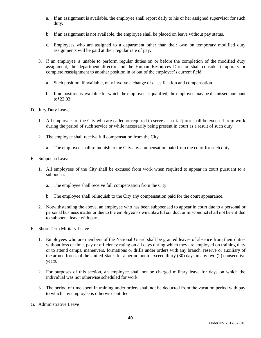- a. If an assignment is available, the employee shall report daily to his or her assigned supervisor for such duty.
- b. If an assignment is not available, the employee shall be placed on leave without pay status.
- c. Employees who are assigned to a department other than their own on temporary modified duty assignments will be paid at their regular rate of pay.
- 3. If an employee is unable to perform regular duties on or before the completion of the modified duty assignment, the department director and the Human Resources Director shall consider temporary or complete reassignment to another position in or out of the employee's current field:
	- a. Such position, if available, may involve a change of classification and compensation.
	- b. If no position is available for which the employee is qualified, the employee may be dismissed pursuant to§22.03.
- D. Jury Duty Leave
	- 1. All employees of the City who are called or required to serve as a trial juror shall be excused from work during the period of such service or while necessarily being present in court as a result of such duty.
	- 2. The employee shall receive full compensation from the City.
		- a. The employee shall relinquish to the City any compensation paid from the court for such duty.
- E. Subpoena Leave
	- 1. All employees of the City shall be excused from work when required to appear in court pursuant to a subpoena.
		- a. The employee shall receive full compensation from the City.
		- b. The employee shall relinquish to the City any compensation paid for the court appearance.
	- 2. Notwithstanding the above, an employee who has been subpoenaed to appear in court due to a personal or personal business matter or due to the employee's own unlawful conduct or misconduct shall not be entitled to subpoena leave with pay.
- F. Short Term Military Leave
	- 1. Employees who are members of the National Guard shall be granted leaves of absence from their duties without loss of time, pay or efficiency rating on all days during which they are employed on training duty or to attend camps, maneuvers, formations or drills under orders with any branch, reserve or auxiliary of the armed forces of the United States for a period not to exceed thirty (30) days in any two (2) consecutive years.
	- 2. For purposes of this section, an employee shall not be charged military leave for days on which the individual was not otherwise scheduled for work.
	- 3. The period of time spent in training under orders shall not be deducted from the vacation period with pay to which any employee is otherwise entitled.
- G. Administrative Leave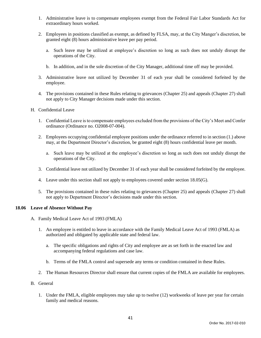- 1. Administrative leave is to compensate employees exempt from the Federal Fair Labor Standards Act for extraordinary hours worked.
- 2. Employees in positions classified as exempt, as defined by FLSA, may, at the City Manger's discretion, be granted eight (8) hours administrative leave per pay period.
	- a. Such leave may be utilized at employee's discretion so long as such does not unduly disrupt the operations of the City.
	- b. In addition, and in the sole discretion of the City Manager, additional time off may be provided.
- 3. Administrative leave not utilized by December 31 of each year shall be considered forfeited by the employee.
- 4. The provisions contained in these Rules relating to grievances (Chapter 25) and appeals (Chapter 27) shall not apply to City Manager decisions made under this section.
- H. Confidential Leave
	- 1. Confidential Leave is to compensate employees excluded from the provisions of the City's Meet and Confer ordinance (Ordinance no. O2008-07-004).
	- 2. Employees occupying confidential employee positions under the ordinance referred to in section (1.) above may, at the Department Director's discretion, be granted eight (8) hours confidential leave per month.
		- a. Such leave may be utilized at the employee's discretion so long as such does not unduly disrupt the operations of the City.
	- 3. Confidential leave not utilized by December 31 of each year shall be considered forfeited by the employee.
	- 4. Leave under this section shall not apply to employees covered under section 18.05(G).
	- 5. The provisions contained in these rules relating to grievances (Chapter 25) and appeals (Chapter 27) shall not apply to Department Director's decisions made under this section.

## **18.06 Leave of Absence Without Pay**

- A. Family Medical Leave Act of 1993 (FMLA)
	- 1. An employee is entitled to leave in accordance with the Family Medical Leave Act of 1993 (FMLA) as authorized and obligated by applicable state and federal law.
		- a. The specific obligations and rights of City and employee are as set forth in the enacted law and accompanying federal regulations and case law.
		- b. Terms of the FMLA control and supersede any terms or condition contained in these Rules.
	- 2. The Human Resources Director shall ensure that current copies of the FMLA are available for employees.
- B. General
	- 1. Under the FMLA, eligible employees may take up to twelve (12) workweeks of leave per year for certain family and medical reasons.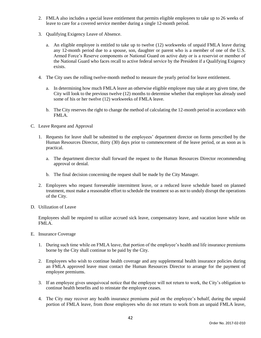- 2. FMLA also includes a special leave entitlement that permits eligible employees to take up to 26 weeks of leave to care for a covered service member during a single 12-month period.
- 3. Qualifying Exigency Leave of Absence.
	- a. An eligible employee is entitled to take up to twelve (12) workweeks of unpaid FMLA leave during any 12-month period due to a spouse, son, daughter or parent who is a member of one of the U.S. Armed Force's Reserve components or National Guard on active duty or is a reservist or member of the National Guard who faces recall to active federal service by the President if a Qualifying Exigency exists.
- 4. The City uses the rolling twelve-month method to measure the yearly period for leave entitlement.
	- a. In determining how much FMLA leave an otherwise eligible employee may take at any given time, the City will look to the previous twelve (12) months to determine whether that employee has already used some of his or her twelve (12) workweeks of FMLA leave.
	- b. The City reserves the right to change the method of calculating the 12-month period in accordance with FMLA.
- C. Leave Request and Approval
	- 1. Requests for leave shall be submitted to the employees' department director on forms prescribed by the Human Resources Director, thirty (30) days prior to commencement of the leave period, or as soon as is practical.
		- a. The department director shall forward the request to the Human Resources Director recommending approval or denial.
		- b. The final decision concerning the request shall be made by the City Manager.
	- 2. Employees who request foreseeable intermittent leave, or a reduced leave schedule based on planned treatment, must make a reasonable effort to schedule the treatment so as not to unduly disrupt the operations of the City.
- D. Utilization of Leave

Employees shall be required to utilize accrued sick leave, compensatory leave, and vacation leave while on FMLA.

- E. Insurance Coverage
	- 1. During such time while on FMLA leave, that portion of the employee's health and life insurance premiums borne by the City shall continue to be paid by the City.
	- 2. Employees who wish to continue health coverage and any supplemental health insurance policies during an FMLA approved leave must contact the Human Resources Director to arrange for the payment of employee premiums.
	- 3. If an employee gives unequivocal notice that the employee will not return to work, the City's obligation to continue health benefits and to reinstate the employee ceases.
	- 4. The City may recover any health insurance premiums paid on the employee's behalf, during the unpaid portion of FMLA leave, from those employees who do not return to work from an unpaid FMLA leave,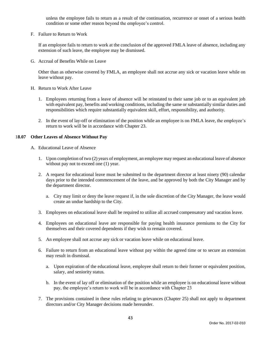unless the employee fails to return as a result of the continuation, recurrence or onset of a serious health condition or some other reason beyond the employee's control.

F. Failure to Return to Work

If an employee fails to return to work at the conclusion of the approved FMLA leave of absence, including any extension of such leave, the employee may be dismissed.

G. Accrual of Benefits While on Leave

Other than as otherwise covered by FMLA, an employee shall not accrue any sick or vacation leave while on leave without pay.

- H. Return to Work After Leave
	- 1. Employees returning from a leave of absence will be reinstated to their same job or to an equivalent job with equivalent pay, benefits and working conditions, including the same or substantially similar duties and responsibilities which require substantially equivalent skill, effort, responsibility, and authority.
	- 2. In the event of lay-off or elimination of the position while an employee is on FMLA leave, the employee's return to work will be in accordance with Chapter 23.

### 1**8.07 Other Leaves of Absence Without Pay**

- A. Educational Leave of Absence
	- 1. Upon completion of two (2) years of employment, an employee may request an educational leave of absence without pay not to exceed one (1) year.
	- 2. A request for educational leave must be submitted to the department director at least ninety (90) calendar days prior to the intended commencement of the leave, and be approved by both the City Manager and by the department director.
		- a. City may limit or deny the leave request if, in the sole discretion of the City Manager, the leave would create an undue hardship to the City.
	- 3. Employees on educational leave shall be required to utilize all accrued compensatory and vacation leave.
	- 4. Employees on educational leave are responsible for paying health insurance premiums to the City for themselves and their covered dependents if they wish to remain covered.
	- 5. An employee shall not accrue any sick or vacation leave while on educational leave.
	- 6. Failure to return from an educational leave without pay within the agreed time or to secure an extension may result in dismissal.
		- a. Upon expiration of the educational leave, employee shall return to their former or equivalent position, salary, and seniority status.
		- b. In the event of lay off or elimination of the position while an employee is on educational leave without pay, the employee's return to work will be in accordance with Chapter 23
	- 7. The provisions contained in these rules relating to grievances (Chapter 25) shall not apply to department directors and/or City Manager decisions made hereunder.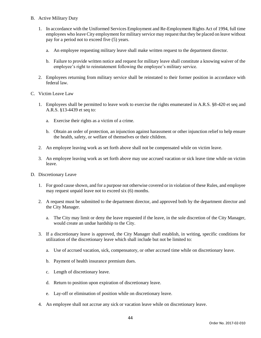- B. Active Military Duty
	- 1. In accordance with the Uniformed Services Employment and Re-Employment Rights Act of 1994, full time employees who leave City employment for military service may request that they be placed on leave without pay for a period not to exceed five (5) years.
		- a. An employee requesting military leave shall make written request to the department director.
		- b. Failure to provide written notice and request for military leave shall constitute a knowing waiver of the employee's right to reinstatement following the employee's military service.
	- 2. Employees returning from military service shall be reinstated to their former position in accordance with federal law.
- C. Victim Leave Law
	- 1. Employees shall be permitted to leave work to exercise the rights enumerated in A.R.S. §8-420 et seq and A.R.S. §13-4439 et seq to:
		- a. Exercise their rights as a victim of a crime.
		- b. Obtain an order of protection, an injunction against harassment or other injunction relief to help ensure the health, safety, or welfare of themselves or their children.
	- 2. An employee leaving work as set forth above shall not be compensated while on victim leave.
	- 3. An employee leaving work as set forth above may use accrued vacation or sick leave time while on victim leave.
- D. Discretionary Leave
	- 1. For good cause shown, and for a purpose not otherwise covered or in violation of these Rules, and employee may request unpaid leave not to exceed six (6) months.
	- 2. A request must be submitted to the department director, and approved both by the department director and the City Manager.
		- a. The City may limit or deny the leave requested if the leave, in the sole discretion of the City Manager, would create an undue hardship to the City.
	- 3. If a discretionary leave is approved, the City Manager shall establish, in writing, specific conditions for utilization of the discretionary leave which shall include but not be limited to:
		- a. Use of accrued vacation, sick, compensatory, or other accrued time while on discretionary leave.
		- b. Payment of health insurance premium dues.
		- c. Length of discretionary leave.
		- d. Return to position upon expiration of discretionary leave.
		- e. Lay-off or elimination of position while on discretionary leave.
	- 4. An employee shall not accrue any sick or vacation leave while on discretionary leave.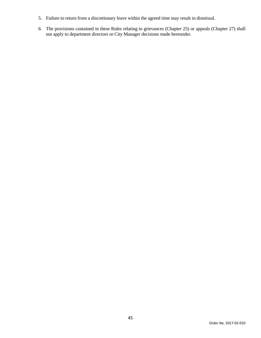- 5. Failure to return from a discretionary leave within the agreed time may result in dismissal.
- 6. The provisions contained in these Rules relating to grievances (Chapter 25) or appeals (Chapter 27) shall not apply to department directors or City Manager decisions made hereunder.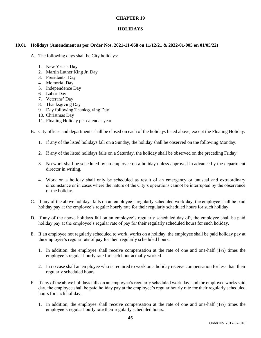### **HOLIDAYS**

### **19.01 Holidays (Amendment as per Order Nos. 2021-11-068 on 11/12/21 & 2022-01-005 on 01/05/22)**

- A. The following days shall be City holidays:
	- 1. New Year's Day
	- 2. Martin Luther King Jr. Day
	- 3. Presidents' Day
	- 4. Memorial Day
	- 5. Independence Day
	- 6. Labor Day
	- 7. Veterans' Day
	- 8. Thanksgiving Day
	- 9. Day following Thanksgiving Day
	- 10. Christmas Day
	- 11. Floating Holiday per calendar year
- B. City offices and departments shall be closed on each of the holidays listed above, except the Floating Holiday.
	- 1. If any of the listed holidays fall on a Sunday, the holiday shall be observed on the following Monday.
	- 2. If any of the listed holidays falls on a Saturday, the holiday shall be observed on the preceding Friday.
	- 3. No work shall be scheduled by an employee on a holiday unless approved in advance by the department director in writing.
	- 4. Work on a holiday shall only be scheduled as result of an emergency or unusual and extraordinary circumstance or in cases where the nature of the City's operations cannot be interrupted by the observance of the holiday.
- C. If any of the above holidays falls on an employee's regularly scheduled work day, the employee shall be paid holiday pay at the employee's regular hourly rate for their regularly scheduled hours for such holiday.
- D. If any of the above holidays fall on an employee's regularly scheduled day off, the employee shall be paid holiday pay at the employee's regular rate of pay for their regularly scheduled hours for such holiday.
- E. If an employee not regularly scheduled to work, works on a holiday, the employee shall be paid holiday pay at the employee's regular rate of pay for their regularly scheduled hours.
	- 1. In addition, the employee shall receive compensation at the rate of one and one-half (1½) times the employee's regular hourly rate for each hour actually worked.
	- 2. In no case shall an employee who is required to work on a holiday receive compensation for less than their regularly scheduled hours.
- F. If any of the above holidays falls on an employee's regularly scheduled work day, and the employee works said day, the employee shall be paid holiday pay at the employee's regular hourly rate for their regularly scheduled hours for such holiday.
	- 1. In addition, the employee shall receive compensation at the rate of one and one-half (1½) times the employee's regular hourly rate their regularly scheduled hours.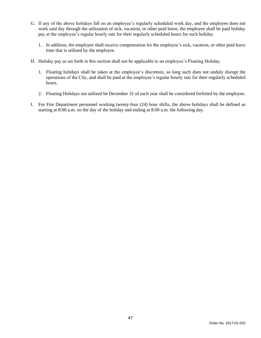- G. If any of the above holidays fall on an employee's regularly scheduled work day, and the employee does not work said day through the utilization of sick, vacation, or other paid leave, the employee shall be paid holiday pay at the employee's regular hourly rate for their regularly scheduled hours for such holiday.
	- 1. In addition, the employee shall receive compensation for the employee's sick, vacation, or other paid leave time that is utilized by the employee.
- H. Holiday pay as set forth in this section shall not be applicable to an employee's Floating Holiday.
	- 1. Floating holidays shall be taken at the employee's discretion, so long such does not unduly disrupt the operations of the City, and shall be paid at the employee's regular hourly rate for their regularly scheduled hours.
	- 2. Floating Holidays not utilized be December 31 of each year shall be considered forfeited by the employee.
- I. For Fire Department personnel working twenty-four (24) hour shifts, the above holidays shall be defined as starting at 8:00 a.m. on the day of the holiday and ending at 8:00 a.m. the following day.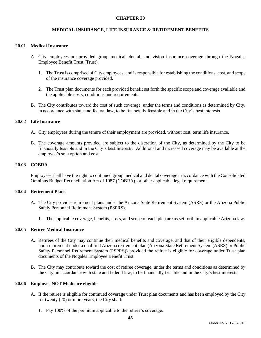## **MEDICAL INSURANCE, LIFE INSURANCE & RETIREMENT BENEFITS**

#### **20.01 Medical Insurance**

- A. City employees are provided group medical, dental, and vision insurance coverage through the Nogales Employee Benefit Trust (Trust).
	- 1. The Trust is comprised of City employees, and is responsible for establishing the conditions, cost, and scope of the insurance coverage provided.
	- 2. The Trust plan documents for each provided benefit set forth the specific scope and coverage available and the applicable costs, conditions and requirements.
- B. The City contributes toward the cost of such coverage, under the terms and conditions as determined by City, in accordance with state and federal law, to be financially feasible and in the City's best interests.

#### **20.02 Life Insurance**

- A. City employees during the tenure of their employment are provided, without cost, term life insurance.
- B. The coverage amounts provided are subject to the discretion of the City, as determined by the City to be financially feasible and in the City's best interests. Additional and increased coverage may be available at the employee's sole option and cost.

### **20.03 COBRA**

Employees shall have the right to continued group medical and dental coverage in accordance with the Consolidated Omnibus Budget Reconciliation Act of 1987 (COBRA), or other applicable legal requirement.

#### **20.04 Retirement Plans**

- A. The City provides retirement plans under the Arizona State Retirement System (ASRS) or the Arizona Public Safely Personnel Retirement System (PSPRS).
	- 1. The applicable coverage, benefits, costs, and scope of each plan are as set forth in applicable Arizona law.

#### **20.05 Retiree Medical Insurance**

- A. Retirees of the City may continue their medical benefits and coverage, and that of their eligible dependents, upon retirement under a qualified Arizona retirement plan (Arizona State Retirement System (ASRS) or Public Safety Personnel Retirement System (PSPRS)) provided the retiree is eligible for coverage under Trust plan documents of the Nogales Employee Benefit Trust.
- B. The City may contribute toward the cost of retiree coverage, under the terms and conditions as determined by the City, in accordance with state and federal law, to be financially feasible and in the City's best interests.

#### **20.06 Employee NOT Medicare eligible**

- A. If the retiree is eligible for continued coverage under Trust plan documents and has been employed by the City for twenty (20) or more years, the City shall:
	- 1. Pay 100% of the premium applicable to the retiree's coverage.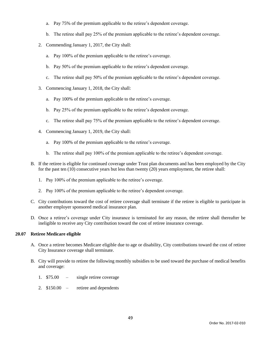- a. Pay 75% of the premium applicable to the retiree's dependent coverage.
- b. The retiree shall pay 25% of the premium applicable to the retiree's dependent coverage.
- 2. Commending January 1, 2017, the City shall:
	- a. Pay 100% of the premium applicable to the retiree's coverage.
	- b. Pay 50% of the premium applicable to the retiree's dependent coverage.
	- c. The retiree shall pay 50% of the premium applicable to the retiree's dependent coverage.
- 3. Commencing January 1, 2018, the City shall:
	- a. Pay 100% of the premium applicable to the retiree's coverage.
	- b. Pay 25% of the premium applicable to the retiree's dependent coverage.
	- c. The retiree shall pay 75% of the premium applicable to the retiree's dependent coverage.
- 4. Commencing January 1, 2019, the City shall:
	- a. Pay 100% of the premium applicable to the retiree's coverage.
	- b. The retiree shall pay 100% of the premium applicable to the retiree's dependent coverage.
- B. If the retiree is eligible for continued coverage under Trust plan documents and has been employed by the City for the past ten (10) consecutive years but less than twenty (20) years employment, the retiree shall:
	- 1. Pay 100% of the premium applicable to the retiree's coverage.
	- 2. Pay 100% of the premium applicable to the retiree's dependent coverage.
- C. City contributions toward the cost of retiree coverage shall terminate if the retiree is eligible to participate in another employer sponsored medical insurance plan.
- D. Once a retiree's coverage under City insurance is terminated for any reason, the retiree shall thereafter be ineligible to receive any City contribution toward the cost of retiree insurance coverage.

## **20.07 Retiree Medicare eligible**

- A. Once a retiree becomes Medicare eligible due to age or disability, City contributions toward the cost of retiree City Insurance coverage shall terminate.
- B. City will provide to retiree the following monthly subsidies to be used toward the purchase of medical benefits and coverage:
	- 1. \$75.00 single retiree coverage
	- 2. \$150.00 retiree and dependents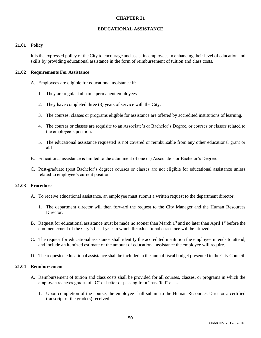### **EDUCATIONAL ASSISTANCE**

### **21.01 Policy**

It is the expressed policy of the City to encourage and assist its employees in enhancing their level of education and skills by providing educational assistance in the form of reimbursement of tuition and class costs.

#### **21.02 Requirements For Assistance**

- A. Employees are eligible for educational assistance if:
	- 1. They are regular full-time permanent employees
	- 2. They have completed three (3) years of service with the City.
	- 3. The courses, classes or programs eligible for assistance are offered by accredited institutions of learning.
	- 4. The courses or classes are requisite to an Associate's or Bachelor's Degree, or courses or classes related to the employee's position.
	- 5. The educational assistance requested is not covered or reimbursable from any other educational grant or aid.
- B. Educational assistance is limited to the attainment of one (1) Associate's or Bachelor's Degree.
- C. Post-graduate (post Bachelor's degree) courses or classes are not eligible for educational assistance unless related to employee's current position.

## **21.03 Procedure**

- A. To receive educational assistance, an employee must submit a written request to the department director.
	- 1. The department director will then forward the request to the City Manager and the Human Resources Director.
- B. Request for educational assistance must be made no sooner than March 1<sup>st</sup> and no later than April 1<sup>st</sup> before the commencement of the City's fiscal year in which the educational assistance will be utilized.
- C. The request for educational assistance shall identify the accredited institution the employee intends to attend, and include an itemized estimate of the amount of educational assistance the employee will require.
- D. The requested educational assistance shall be included in the annual fiscal budget presented to the City Council.

## **21.04 Reimbursement**

- A. Reimbursement of tuition and class costs shall be provided for all courses, classes, or programs in which the employee receives grades of "C" or better or passing for a "pass/fail" class.
	- 1. Upon completion of the course, the employee shall submit to the Human Resources Director a certified transcript of the grade(s) received.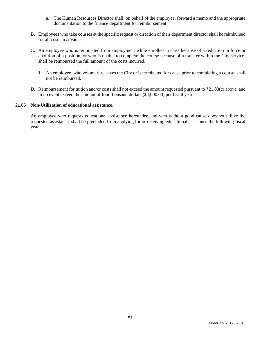- a. The Human Resources Director shall, on behalf of the employee, forward a memo and the appropriate documentation to the finance department for reimbursement.
- B. Employees who take courses at the specific request or direction of their department director shall be reimbursed for all costs in advance.
- C. An employee who is terminated from employment while enrolled in class because of a reduction in force or abolition of a position, or who is unable to complete the course because of a transfer within the City service, shall be reimbursed the full amount of the costs incurred.
	- 1. An employee, who voluntarily leaves the City or is terminated for cause prior to completing a course, shall not be reimbursed.
- D. Reimbursement for tuition and/or costs shall not exceed the amount requested pursuant to §21.03(c) above, and in no event exceed the amount of four thousand dollars (\$4,000.00) per fiscal year.

## **21.05 Non-Utilization of educational assistance**.

An employee who requests educational assistance hereunder, and who without good cause does not utilize the requested assistance, shall be precluded from applying for or receiving educational assistance the following fiscal year.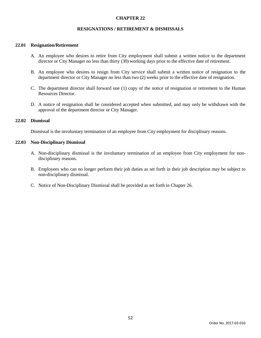## **RESIGNATIONS / RETIREMENT & DISMISSALS**

### **22.01 Resignation/Retirement**

- A. An employee who desires to retire from City employment shall submit a written notice to the department director or City Manager no less than thirty (30) working days prior to the effective date of retirement.
- B. An employee who desires to resign from City service shall submit a written notice of resignation to the department director or City Manager no less than two (2) weeks prior to the effective date of resignation.
- C. The department director shall forward one (1) copy of the notice of resignation or retirement to the Human Resources Director.
- D. A notice of resignation shall be considered accepted when submitted, and may only be withdrawn with the approval of the department director or City Manager.

## **22.02 Dismissal**

Dismissal is the involuntary termination of an employee from City employment for disciplinary reasons.

#### **22.03 Non-Disciplinary Dismissal**

- A. Non-disciplinary dismissal is the involuntary termination of an employee from City employment for nondisciplinary reasons.
- B. Employees who can no longer perform their job duties as set forth in their job description may be subject to non-disciplinary dismissal.
- C. Notice of Non-Disciplinary Dismissal shall be provided as set forth in Chapter 26.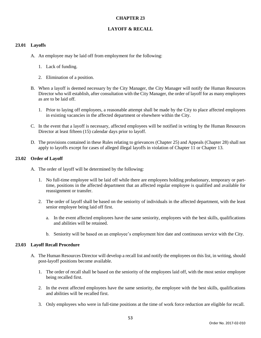## **LAYOFF & RECALL**

### **23.01 Layoffs**

- A. An employee may be laid off from employment for the following:
	- 1. Lack of funding.
	- 2. Elimination of a position.
- B. When a layoff is deemed necessary by the City Manager, the City Manager will notify the Human Resources Director who will establish, after consultation with the City Manager, the order of layoff for as many employees as are to be laid off.
	- 1. Prior to laying off employees, a reasonable attempt shall be made by the City to place affected employees in existing vacancies in the affected department or elsewhere within the City.
- C. In the event that a layoff is necessary, affected employees will be notified in writing by the Human Resources Director at least fifteen (15) calendar days prior to layoff.
- D. The provisions contained in these Rules relating to grievances (Chapter 25) and Appeals (Chapter 28) shall not apply to layoffs except for cases of alleged illegal layoffs in violation of Chapter 11 or Chapter 13.

## **23.02 Order of Layoff**

- A. The order of layoff will be determined by the following:
	- 1. No full-time employee will be laid off while there are employees holding probationary, temporary or parttime, positions in the affected department that an affected regular employee is qualified and available for reassignment or transfer.
	- 2. The order of layoff shall be based on the seniority of individuals in the affected department, with the least senior employee being laid off first.
		- a. In the event affected employees have the same seniority, employees with the best skills, qualifications and abilities will be retained.
		- b. Seniority will be based on an employee's employment hire date and continuous service with the City.

#### **23.03 Layoff Recall Procedure**

- A. The Human Resources Director will develop a recall list and notify the employees on this list, in writing, should post-layoff positions become available.
	- 1. The order of recall shall be based on the seniority of the employees laid off, with the most senior employee being recalled first.
	- 2. In the event affected employees have the same seniority, the employee with the best skills, qualifications and abilities will be recalled first.
	- 3. Only employees who were in full-time positions at the time of work force reduction are eligible for recall.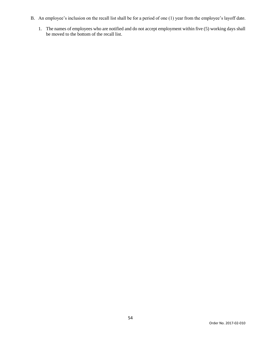- B. An employee's inclusion on the recall list shall be for a period of one (1) year from the employee's layoff date.
	- 1. The names of employees who are notified and do not accept employment within five (5) working days shall be moved to the bottom of the recall list.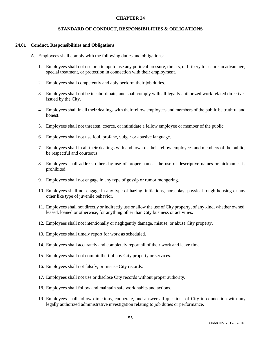### **STANDARD OF CONDUCT, RESPONSIBILITIES & OBLIGATIONS**

#### **24.01 Conduct, Responsibilities and Obligations**

- A. Employees shall comply with the following duties and obligations:
	- 1. Employees shall not use or attempt to use any political pressure, threats, or bribery to secure an advantage, special treatment, or protection in connection with their employment.
	- 2. Employees shall competently and ably perform their job duties.
	- 3. Employees shall not be insubordinate, and shall comply with all legally authorized work related directives issued by the City.
	- 4. Employees shall in all their dealings with their fellow employees and members of the public be truthful and honest.
	- 5. Employees shall not threaten, coerce, or intimidate a fellow employee or member of the public.
	- 6. Employees shall not use foul, profane, vulgar or abusive language.
	- 7. Employees shall in all their dealings with and towards their fellow employees and members of the public, be respectful and courteous.
	- 8. Employees shall address others by use of proper names; the use of descriptive names or nicknames is prohibited.
	- 9. Employees shall not engage in any type of gossip or rumor mongering.
	- 10. Employees shall not engage in any type of hazing, initiations, horseplay, physical rough housing or any other like type of juvenile behavior.
	- 11. Employees shall not directly or indirectly use or allow the use of City property, of any kind, whether owned, leased, loaned or otherwise, for anything other than City business or activities.
	- 12. Employees shall not intentionally or negligently damage, misuse, or abuse City property.
	- 13. Employees shall timely report for work as scheduled.
	- 14. Employees shall accurately and completely report all of their work and leave time.
	- 15. Employees shall not commit theft of any City property or services.
	- 16. Employees shall not falsify, or misuse City records.
	- 17. Employees shall not use or disclose City records without proper authority.
	- 18. Employees shall follow and maintain safe work habits and actions.
	- 19. Employees shall follow directions, cooperate, and answer all questions of City in connection with any legally authorized administrative investigation relating to job duties or performance.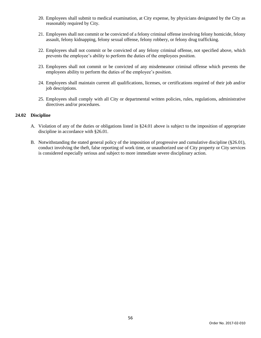- 20. Employees shall submit to medical examination, at City expense, by physicians designated by the City as reasonably required by City.
- 21. Employees shall not commit or be convicted of a felony criminal offense involving felony homicide, felony assault, felony kidnapping, felony sexual offense, felony robbery, or felony drug trafficking.
- 22. Employees shall not commit or be convicted of any felony criminal offense, not specified above, which prevents the employee's ability to perform the duties of the employees position.
- 23. Employees shall not commit or be convicted of any misdemeanor criminal offense which prevents the employees ability to perform the duties of the employee's position.
- 24. Employees shall maintain current all qualifications, licenses, or certifications required of their job and/or job descriptions.
- 25. Employees shall comply with all City or departmental written policies, rules, regulations, administrative directives and/or procedures.

# **24.02 Discipline**

- A. Violation of any of the duties or obligations listed in §24.01 above is subject to the imposition of appropriate discipline in accordance with §26.01.
- B. Notwithstanding the stated general policy of the imposition of progressive and cumulative discipline (§26.01), conduct involving the theft, false reporting of work time, or unauthorized use of City property or City services is considered especially serious and subject to more immediate severe disciplinary action.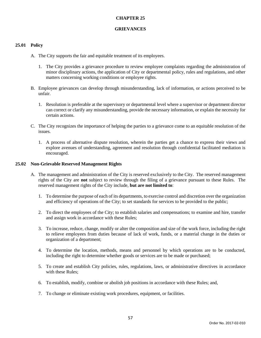### **GRIEVANCES**

## **25.01 Policy**

- A. The City supports the fair and equitable treatment of its employees.
	- 1. The City provides a grievance procedure to review employee complaints regarding the administration of minor disciplinary actions, the application of City or departmental policy, rules and regulations, and other matters concerning working conditions or employee rights.
- B. Employee grievances can develop through misunderstanding, lack of information, or actions perceived to be unfair.
	- 1. Resolution is preferable at the supervisory or departmental level where a supervisor or department director can correct or clarify any misunderstanding, provide the necessary information, or explain the necessity for certain actions.
- C. The City recognizes the importance of helping the parties to a grievance come to an equitable resolution of the issues.
	- 1. A process of alternative dispute resolution, wherein the parties get a chance to express their views and explore avenues of understanding, agreement and resolution through confidential facilitated mediation is encouraged.

#### **25.02 Non-Grievable Reserved Management Rights**

- A. The management and administration of the City is reserved exclusively to the City. The reserved management rights of the City are **not** subject to review through the filing of a grievance pursuant to these Rules. The reserved management rights of the City include, **but are not limited to**:
	- 1. To determine the purpose of each of its departments, to exercise control and discretion over the organization and efficiency of operations of the City; to set standards for services to be provided to the public;
	- 2. To direct the employees of the City; to establish salaries and compensations; to examine and hire, transfer and assign work in accordance with these Rules;
	- 3. To increase, reduce, change, modify or alter the composition and size of the work force, including the right to relieve employees from duties because of lack of work, funds, or a material change in the duties or organization of a department;
	- 4. To determine the location, methods, means and personnel by which operations are to be conducted, including the right to determine whether goods or services are to be made or purchased;
	- 5. To create and establish City policies, rules, regulations, laws, or administrative directives in accordance with these Rules;
	- 6. To establish, modify, combine or abolish job positions in accordance with these Rules; and,
	- 7. To change or eliminate existing work procedures, equipment, or facilities.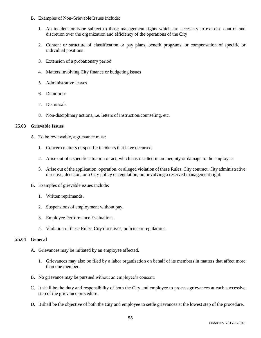- B. Examples of Non-Grievable Issues include:
	- 1. An incident or issue subject to those management rights which are necessary to exercise control and discretion over the organization and efficiency of the operations of the City
	- 2. Content or structure of classification or pay plans, benefit programs, or compensation of specific or individual positions
	- 3. Extension of a probationary period
	- 4. Matters involving City finance or budgeting issues
	- 5. Administrative leaves
	- 6. Demotions
	- 7. Dismissals
	- 8. Non-disciplinary actions, i.e. letters of instruction/counseling, etc.

#### **25.03 Grievable Issues**

- A. To be reviewable, a grievance must:
	- 1. Concern matters or specific incidents that have occurred.
	- 2. Arise out of a specific situation or act, which has resulted in an inequity or damage to the employee.
	- 3. Arise out of the application, operation, or alleged violation of these Rules, City contract, City administrative directive, decision, or a City policy or regulation, not involving a reserved management right.
- B. Examples of grievable issues include:
	- 1. Written reprimands,
	- 2. Suspensions of employment without pay,
	- 3. Employee Performance Evaluations.
	- 4. Violation of these Rules, City directives, policies or regulations.

### **25.04 General**

- A. Grievances may be initiated by an employee affected.
	- 1. Grievances may also be filed by a labor organization on behalf of its members in matters that affect more than one member.
- B. No grievance may be pursued without an employee's consent.
- C. It shall be the duty and responsibility of both the City and employee to process grievances at each successive step of the grievance procedure.
- D. It shall be the objective of both the City and employee to settle grievances at the lowest step of the procedure.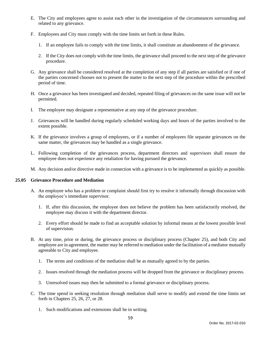- E. The City and employees agree to assist each other in the investigation of the circumstances surrounding and related to any grievance.
- F. Employees and City must comply with the time limits set forth in these Rules.
	- 1. If an employee fails to comply with the time limits, it shall constitute an abandonment of the grievance.
	- 2. If the City does not comply with the time limits, the grievance shall proceed to the next step of the grievance procedure.
- G. Any grievance shall be considered resolved at the completion of any step if all parties are satisfied or if one of the parties concerned chooses not to present the matter to the next step of the procedure within the prescribed period of time.
- H. Once a grievance has been investigated and decided, repeated filing of grievances on the same issue will not be permitted.
- I. The employee may designate a representative at any step of the grievance procedure.
- J. Grievances will be handled during regularly scheduled working days and hours of the parties involved to the extent possible.
- K. If the grievance involves a group of employees, or if a number of employees file separate grievances on the same matter, the grievances may be handled as a single grievance.
- L. Following completion of the grievances process, department directors and supervisors shall ensure the employee does not experience any retaliation for having pursued the grievance.
- M. Any decision and/or directive made in connection with a grievance is to be implemented as quickly as possible.

## **25.05 Grievance Procedure and Mediation**

- A. An employee who has a problem or complaint should first try to resolve it informally through discussion with the employee's immediate supervisor.
	- 1. If, after this discussion, the employee does not believe the problem has been satisfactorily resolved, the employee may discuss it with the department director.
	- 2. Every effort should be made to find an acceptable solution by informal means at the lowest possible level of supervision.
- B. At any time, prior or during, the grievance process or disciplinary process (Chapter 25), and both City and employee are in agreement, the matter may be referred to mediation under the facilitation of a mediator mutually agreeable to City and employee.
	- 1. The terms and conditions of the mediation shall be as mutually agreed to by the parties.
	- 2. Issues resolved through the mediation process will be dropped from the grievance or disciplinary process.
	- 3. Unresolved issues may then be submitted to a formal grievance or disciplinary process.
- C. The time spend in seeking resolution through mediation shall serve to modify and extend the time limits set forth in Chapters 25, 26, 27, or 28.
	- 1. Such modifications and extensions shall be in writing.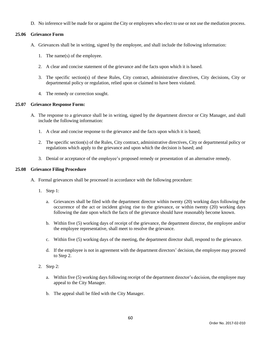D. No inference will be made for or against the City or employees who elect to use or not use the mediation process.

# **25.06 Grievance Form**

- A. Grievances shall be in writing, signed by the employee, and shall include the following information:
	- 1. The name(s) of the employee.
	- 2. A clear and concise statement of the grievance and the facts upon which it is based.
	- 3. The specific section(s) of these Rules, City contract, administrative directives, City decisions, City or departmental policy or regulation, relied upon or claimed to have been violated.
	- 4. The remedy or correction sought.

## **25.07 Grievance Response Form:**

- A. The response to a grievance shall be in writing, signed by the department director or City Manager, and shall include the following information:
	- 1. A clear and concise response to the grievance and the facts upon which it is based;
	- 2. The specific section(s) of the Rules, City contract, administrative directives, City or departmental policy or regulations which apply to the grievance and upon which the decision is based; and
	- 3. Denial or acceptance of the employee's proposed remedy or presentation of an alternative remedy.

## **25.08 Grievance Filing Procedure**

- A. Formal grievances shall be processed in accordance with the following procedure:
	- 1. Step 1:
		- a. Grievances shall be filed with the department director within twenty (20) working days following the occurrence of the act or incident giving rise to the grievance, or within twenty (20) working days following the date upon which the facts of the grievance should have reasonably become known.
		- b. Within five (5) working days of receipt of the grievance, the department director, the employee and/or the employee representative, shall meet to resolve the grievance.
		- c. Within five (5) working days of the meeting, the department director shall, respond to the grievance.
		- d. If the employee is not in agreement with the department directors' decision, the employee may proceed to Step 2.
	- 2. Step 2:
		- a. Within five (5) working days following receipt of the department director's decision, the employee may appeal to the City Manager.
		- b. The appeal shall be filed with the City Manager.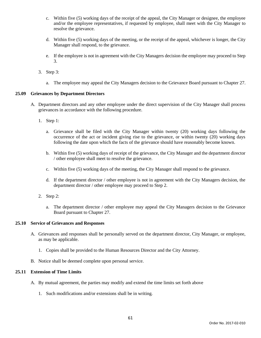- c. Within five (5) working days of the receipt of the appeal, the City Manager or designee, the employee and/or the employee representatives, if requested by employee, shall meet with the City Manager to resolve the grievance.
- d. Within five (5) working days of the meeting, or the receipt of the appeal, whichever is longer, the City Manager shall respond, to the grievance.
- e. If the employee is not in agreement with the City Managers decision the employee may proceed to Step 3.
- 3. Step 3:
	- a. The employee may appeal the City Managers decision to the Grievance Board pursuant to Chapter 27.

## **25.09 Grievances by Department Directors**

- A. Department directors and any other employee under the direct supervision of the City Manager shall process grievances in accordance with the following procedure.
	- 1. Step 1:
		- a. Grievance shall be filed with the City Manager within twenty (20) working days following the occurrence of the act or incident giving rise to the grievance, or within twenty (20) working days following the date upon which the facts of the grievance should have reasonably become known.
		- b. Within five (5) working days of receipt of the grievance, the City Manager and the department director / other employee shall meet to resolve the grievance.
		- c. Within five (5) working days of the meeting, the City Manager shall respond to the grievance.
		- d. If the department director / other employee is not in agreement with the City Managers decision, the department director / other employee may proceed to Step 2.
	- 2. Step 2:
		- a. The department director / other employee may appeal the City Managers decision to the Grievance Board pursuant to Chapter 27.

## **25.10 Service of Grievances and Responses**

- A. Grievances and responses shall be personally served on the department director, City Manager, or employee, as may be applicable.
	- 1. Copies shall be provided to the Human Resources Director and the City Attorney.
- B. Notice shall be deemed complete upon personal service.

## **25.11 Extension of Time Limits**

- A. By mutual agreement, the parties may modify and extend the time limits set forth above
	- 1. Such modifications and/or extensions shall be in writing.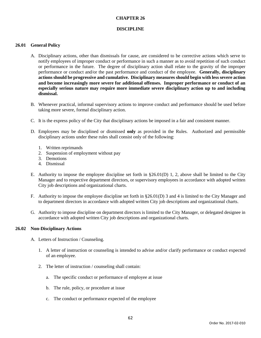### **DISCIPLINE**

### **26.01 General Policy**

- A. Disciplinary actions, other than dismissals for cause, are considered to be corrective actions which serve to notify employees of improper conduct or performance in such a manner as to avoid repetition of such conduct or performance in the future. The degree of disciplinary action shall relate to the gravity of the improper performance or conduct and/or the past performance and conduct of the employee. **Generally, disciplinary actions should be progressive and cumulative. Disciplinary measures should begin with less severe action and become increasingly more severe for additional offenses. Improper performance or conduct of an especially serious nature may require more immediate severe disciplinary action up to and including dismissal.**
- B. Whenever practical, informal supervisory actions to improve conduct and performance should be used before taking more severe, formal disciplinary action.
- C. It is the express policy of the City that disciplinary actions be imposed in a fair and consistent manner.
- D. Employees may be disciplined or dismissed **only** as provided in the Rules. Authorized and permissible disciplinary actions under these rules shall consist only of the following:
	- 1. Written reprimands
	- 2. Suspension of employment without pay
	- 3. Demotions
	- 4. Dismissal
- E. Authority to impose the employee discipline set forth in  $\S 26.01(D)$  1, 2, above shall be limited to the City Manager and to respective department directors, or supervisory employees in accordance with adopted written City job descriptions and organizational charts.
- F. Authority to impose the employee discipline set forth in §26.01(D) 3 and 4 is limited to the City Manager and to department directors in accordance with adopted written City job descriptions and organizational charts.
- G. Authority to impose discipline on department directors is limited to the City Manager, or delegated designee in accordance with adopted written City job descriptions and organizational charts.

#### **26.02 Non-Disciplinary Actions**

- A. Letters of Instruction / Counseling.
	- 1. A letter of instruction or counseling is intended to advise and/or clarify performance or conduct expected of an employee.
	- 2. The letter of instruction / counseling shall contain:
		- a. The specific conduct or performance of employee at issue
		- b. The rule, policy, or procedure at issue
		- c. The conduct or performance expected of the employee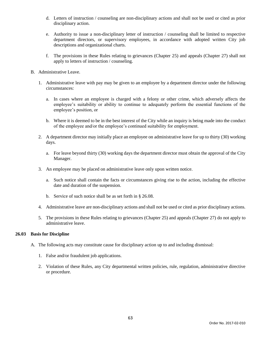- d. Letters of instruction / counseling are non-disciplinary actions and shall not be used or cited as prior disciplinary action.
- e. Authority to issue a non-disciplinary letter of instruction / counseling shall be limited to respective department directors, or supervisory employees, in accordance with adopted written City job descriptions and organizational charts.
- f. The provisions in these Rules relating to grievances (Chapter 25) and appeals (Chapter 27) shall not apply to letters of instruction / counseling.
- B. Administrative Leave.
	- 1. Administrative leave with pay may be given to an employee by a department director under the following circumstances:
		- a. In cases where an employee is charged with a felony or other crime, which adversely affects the employee's suitability or ability to continue to adequately perform the essential functions of the employee's position, or
		- b. Where it is deemed to be in the best interest of the City while an inquiry is being made into the conduct of the employee and/or the employee's continued suitability for employment.
	- 2. A department director may initially place an employee on administrative leave for up to thirty (30) working days.
		- a. For leave beyond thirty (30) working days the department director must obtain the approval of the City Manager.
	- 3. An employee may be placed on administrative leave only upon written notice.
		- a. Such notice shall contain the facts or circumstances giving rise to the action, including the effective date and duration of the suspension.
		- b. Service of such notice shall be as set forth in § 26.08.
	- 4. Administrative leave are non-disciplinary actions and shall not be used or cited as prior disciplinary actions.
	- 5. The provisions in these Rules relating to grievances (Chapter 25) and appeals (Chapter 27) do not apply to administrative leave.

#### **26.03 Basis for Discipline**

- A. The following acts may constitute cause for disciplinary action up to and including dismissal:
	- 1. False and/or fraudulent job applications.
	- 2. Violation of these Rules, any City departmental written policies, rule, regulation, administrative directive or procedure.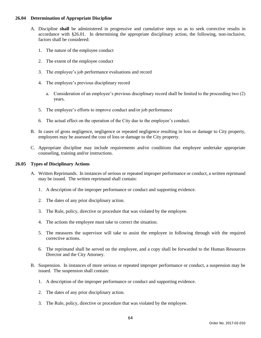### **26.04 Determination of Appropriate Discipline**

- A. Discipline **shall** be administered in progressive and cumulative steps so as to seek corrective results in accordance with §26.01. In determining the appropriate disciplinary action, the following, non-inclusive, factors shall be considered:
	- 1. The nature of the employee conduct
	- 2. The extent of the employee conduct
	- 3. The employee's job performance evaluations and record
	- 4. The employee's previous disciplinary record
		- a. Consideration of an employee's previous disciplinary record shall be limited to the proceeding two (2) years.
	- 5. The employee's efforts to improve conduct and/or job performance
	- 6. The actual effect on the operation of the City due to the employee's conduct.
- B. In cases of gross negligence, negligence or repeated negligence resulting in loss or damage to City property, employees may be assessed the cost of loss or damage to the City property.
- C. Appropriate discipline may include requirements and/or conditions that employee undertake appropriate counseling, training and/or instructions.

## **26.05 Types of Disciplinary Actions**

- A. Written Reprimands. In instances of serious or repeated improper performance or conduct, a written reprimand may be issued. The written reprimand shall contain:
	- 1. A description of the improper performance or conduct and supporting evidence.
	- 2. The dates of any prior disciplinary action.
	- 3. The Rule, policy, directive or procedure that was violated by the employee.
	- 4. The actions the employee must take to correct the situation.
	- 5. The measures the supervisor will take to assist the employee in following through with the required corrective actions.
	- 6. The reprimand shall be served on the employee, and a copy shall be forwarded to the Human Resources Director and the City Attorney.
- B. Suspension. In instances of more serious or repeated improper performance or conduct, a suspension may be issued. The suspension shall contain:
	- 1. A description of the improper performance or conduct and supporting evidence.
	- 2. The dates of any prior disciplinary action.
	- 3. The Rule, policy, directive or procedure that was violated by the employee.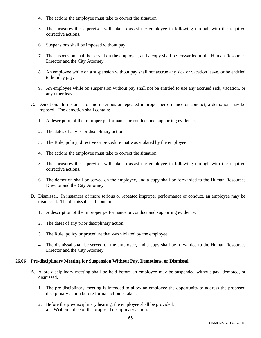- 4. The actions the employee must take to correct the situation.
- 5. The measures the supervisor will take to assist the employee in following through with the required corrective actions.
- 6. Suspensions shall be imposed without pay.
- 7. The suspension shall be served on the employee, and a copy shall be forwarded to the Human Resources Director and the City Attorney.
- 8. An employee while on a suspension without pay shall not accrue any sick or vacation leave, or be entitled to holiday pay.
- 9. An employee while on suspension without pay shall not be entitled to use any accrued sick, vacation, or any other leave.
- C. Demotion. In instances of more serious or repeated improper performance or conduct, a demotion may be imposed. The demotion shall contain:
	- 1. A description of the improper performance or conduct and supporting evidence.
	- 2. The dates of any prior disciplinary action.
	- 3. The Rule, policy, directive or procedure that was violated by the employee.
	- 4. The actions the employee must take to correct the situation.
	- 5. The measures the supervisor will take to assist the employee in following through with the required corrective actions.
	- 6. The demotion shall be served on the employee, and a copy shall be forwarded to the Human Resources Director and the City Attorney.
- D. Dismissal. In instances of more serious or repeated improper performance or conduct, an employee may be dismissed. The dismissal shall contain:
	- 1. A description of the improper performance or conduct and supporting evidence.
	- 2. The dates of any prior disciplinary action.
	- 3. The Rule, policy or procedure that was violated by the employee.
	- 4. The dismissal shall be served on the employee, and a copy shall be forwarded to the Human Resources Director and the City Attorney.

### **26.06 Pre-disciplinary Meeting for Suspension Without Pay, Demotions, or Dismissal**

- A. A pre-disciplinary meeting shall be held before an employee may be suspended without pay, demoted, or dismissed.
	- 1. The pre-disciplinary meeting is intended to allow an employee the opportunity to address the proposed disciplinary action before formal action is taken.
	- 2. Before the pre-disciplinary hearing, the employee shall be provided:
		- a. Written notice of the proposed disciplinary action.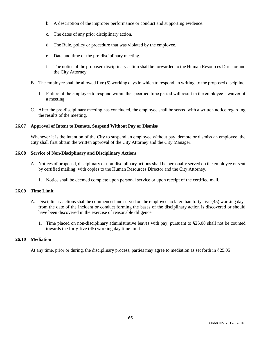- b. A description of the improper performance or conduct and supporting evidence.
- c. The dates of any prior disciplinary action.
- d. The Rule, policy or procedure that was violated by the employee.
- e. Date and time of the pre-disciplinary meeting.
- f. The notice of the proposed disciplinary action shall be forwarded to the Human Resources Director and the City Attorney.
- B. The employee shall be allowed five (5) working days in which to respond, in writing, to the proposed discipline.
	- 1. Failure of the employee to respond within the specified time period will result in the employee's waiver of a meeting.
- C. After the pre-disciplinary meeting has concluded, the employee shall be served with a written notice regarding the results of the meeting.

## **26.07 Approval of Intent to Demote, Suspend Without Pay or Dismiss**

Whenever it is the intention of the City to suspend an employee without pay, demote or dismiss an employee, the City shall first obtain the written approval of the City Attorney and the City Manager.

## **26.08 Service of Non-Disciplinary and Disciplinary Actions**

- A. Notices of proposed, disciplinary or non-disciplinary actions shall be personally served on the employee or sent by certified mailing; with copies to the Human Resources Director and the City Attorney.
	- 1. Notice shall be deemed complete upon personal service or upon receipt of the certified mail.

# **26.09 Time Limit**

- A. Disciplinary actions shall be commenced and served on the employee no later than forty-five (45) working days from the date of the incident or conduct forming the bases of the disciplinary action is discovered or should have been discovered in the exercise of reasonable diligence.
	- 1. Time placed on non-disciplinary administrative leaves with pay, pursuant to §25.08 shall not be counted towards the forty-five (45) working day time limit.

# **26.10 Mediation**

At any time, prior or during, the disciplinary process, parties may agree to mediation as set forth in §25.05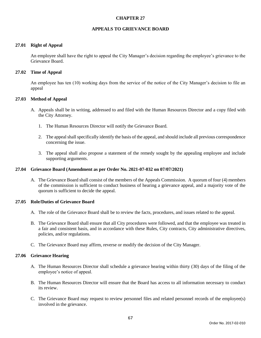### **APPEALS TO GRIEVANCE BOARD**

### **27.01 Right of Appeal**

An employee shall have the right to appeal the City Manager's decision regarding the employee's grievance to the Grievance Board.

### **27.02 Time of Appeal**

An employee has ten (10) working days from the service of the notice of the City Manager's decision to file an appeal

### **27.03 Method of Appeal**

- A. Appeals shall be in writing, addressed to and filed with the Human Resources Director and a copy filed with the City Attorney.
	- 1. The Human Resources Director will notify the Grievance Board.
	- 2. The appeal shall specifically identify the basis of the appeal, and should include all previous correspondence concerning the issue.
	- 3. The appeal shall also propose a statement of the remedy sought by the appealing employee and include supporting arguments.

### **27.04 Grievance Board (Amendment as per Order No. 2021-07-032 on 07/07/2021)**

A. The Grievance Board shall consist of the members of the Appeals Commission. A quorum of four (4) members of the commission is sufficient to conduct business of hearing a grievance appeal, and a majority vote of the quorum is sufficient to decide the appeal.

#### **27.05 Role/Duties of Grievance Board**

- A. The role of the Grievance Board shall be to review the facts, procedures, and issues related to the appeal.
- B. The Grievance Board shall ensure that all City procedures were followed, and that the employee was treated in a fair and consistent basis, and in accordance with these Rules, City contracts, City administrative directives, policies, and/or regulations.
- C. The Grievance Board may affirm, reverse or modify the decision of the City Manager.

## **27.06 Grievance Hearing**

- A. The Human Resources Director shall schedule a grievance hearing within thirty (30) days of the filing of the employee's notice of appeal.
- B. The Human Resources Director will ensure that the Board has access to all information necessary to conduct its review.
- C. The Grievance Board may request to review personnel files and related personnel records of the employee(s) involved in the grievance.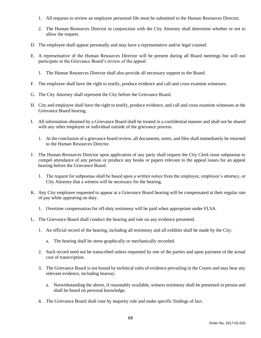- 1. All requests to review an employee personnel file must be submitted to the Human Resources Director.
- 2. The Human Resources Director in conjunction with the City Attorney shall determine whether or not to allow the request.
- D. The employee shall appear personally and may have a representative and/or legal counsel.
- E. A representative of the Human Resources Director will be present during all Board meetings but will not participate in the Grievance Board's review of the appeal.
	- 1. The Human Resources Director shall also provide all necessary support to the Board.
- F. The employee shall have the right to testify, produce evidence and call and cross examine witnesses.
- G. The City Attorney shall represent the City before the Grievance Board.
- H. City and employee shall have the right to testify, produce evidence, and call and cross examine witnesses at the Grievance Board hearing.
- I. All information obtained by a Grievance Board shall be treated in a confidential manner and shall not be shared with any other employee or individual outside of the grievance process.
	- 1. At the conclusion of a grievance board review, all documents, notes, and files shall immediately be returned to the Human Resources Director.
- J. The Human Resources Director upon application of any party shall request the City Clerk issue subpoenas to compel attendance of any person or produce any books or papers relevant to the appeal issues for an appeal hearing before the Grievance Board.
	- 1. The request for subpoenas shall be based upon a written notice from the employee, employee's attorney, or City Attorney that a witness will be necessary for the hearing.
- K. Any City employee requested to appear at a Grievance Board hearing will be compensated at their regular rate of pay while appearing on duty.
	- 1. Overtime compensation for off-duty testimony will be paid when appropriate under FLSA.
- L. The Grievance Board shall conduct the hearing and rule on any evidence presented.
	- 1. An official record of the hearing, including all testimony and all exhibits shall be made by the City.
		- a. The hearing shall be steno graphically or mechanically recorded.
	- 2. Such record need not be transcribed unless requested by one of the parties and upon payment of the actual cost of transcription.
	- 3. The Grievance Board is not bound by technical rules of evidence prevailing in the Courts and may hear any relevant evidence, including hearsay.
		- a. Notwithstanding the above, if reasonably available, witness testimony shall be presented in person and shall be based on personal knowledge.
	- 4. The Grievance Board shall vote by majority rule and make specific findings of fact.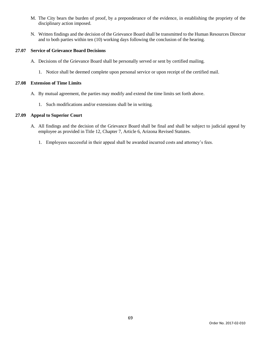- M. The City bears the burden of proof, by a preponderance of the evidence, in establishing the propriety of the disciplinary action imposed.
- N. Written findings and the decision of the Grievance Board shall be transmitted to the Human Resources Director and to both parties within ten (10) working days following the conclusion of the hearing.

## **27.07 Service of Grievance Board Decisions**

- A. Decisions of the Grievance Board shall be personally served or sent by certified mailing.
	- 1. Notice shall be deemed complete upon personal service or upon receipt of the certified mail.

## **27.08 Extension of Time Limits**

- A. By mutual agreement, the parties may modify and extend the time limits set forth above.
	- 1. Such modifications and/or extensions shall be in writing.

# **27.09 Appeal to Superior Court**

- A. All findings and the decision of the Grievance Board shall be final and shall be subject to judicial appeal by employee as provided in Title 12, Chapter 7, Article 6, Arizona Revised Statutes.
	- 1. Employees successful in their appeal shall be awarded incurred costs and attorney's fees.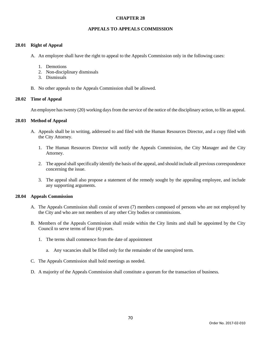### **APPEALS TO APPEALS COMMISSION**

#### **28.01 Right of Appeal**

- A. An employee shall have the right to appeal to the Appeals Commission only in the following cases:
	- 1. Demotions
	- 2. Non-disciplinary dismissals
	- 3. Dismissals
- B. No other appeals to the Appeals Commission shall be allowed.

### **28.02 Time of Appeal**

An employee has twenty (20) working days from the service of the notice of the disciplinary action, to file an appeal.

### **28.03 Method of Appeal**

- A. Appeals shall be in writing, addressed to and filed with the Human Resources Director, and a copy filed with the City Attorney.
	- 1. The Human Resources Director will notify the Appeals Commission, the City Manager and the City Attorney.
	- 2. The appeal shall specifically identify the basis of the appeal, and should include all previous correspondence concerning the issue.
	- 3. The appeal shall also propose a statement of the remedy sought by the appealing employee, and include any supporting arguments.

#### **28.04 Appeals Commission**

- A. The Appeals Commission shall consist of seven (7) members composed of persons who are not employed by the City and who are not members of any other City bodies or commissions.
- B. Members of the Appeals Commission shall reside within the City limits and shall be appointed by the City Council to serve terms of four (4) years.
	- 1. The terms shall commence from the date of appointment
		- a. Any vacancies shall be filled only for the remainder of the unexpired term.
- C. The Appeals Commission shall hold meetings as needed.
- D. A majority of the Appeals Commission shall constitute a quorum for the transaction of business.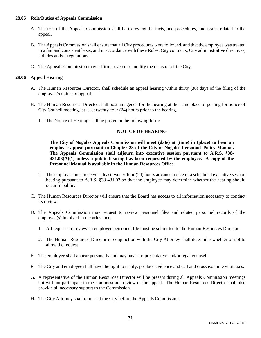#### **28.05 Role/Duties of Appeals Commission**

- A. The role of the Appeals Commission shall be to review the facts, and procedures, and issues related to the appeal.
- B. The Appeals Commission shall ensure that all City procedures were followed, and that the employee was treated in a fair and consistent basis, and in accordance with these Rules, City contracts, City administrative directives, policies and/or regulations.
- C. The Appeals Commission may, affirm, reverse or modify the decision of the City.

### **28.06 Appeal Hearing**

- A. The Human Resources Director, shall schedule an appeal hearing within thirty (30) days of the filing of the employee's notice of appeal.
- B. The Human Resources Director shall post an agenda for the hearing at the same place of posting for notice of City Council meetings at least twenty-four (24) hours prior to the hearing.
	- 1. The Notice of Hearing shall be posted in the following form:

### **NOTICE OF HEARING**

**The City of Nogales Appeals Commission will meet (date) at (time) in (place) to hear an employee appeal pursuant to Chapter 28 of the City of Nogales Personnel Policy Manual. The Appeals Commission shall adjourn into executive session pursuant to A.R.S. §38- 431.03(A)(1) unless a public hearing has been requested by the employee. A copy of the Personnel Manual is available in the Human Resources Office.**

- 2. The employee must receive at least twenty-four (24) hours advance notice of a scheduled executive session hearing pursuant to A.R.S. §38-431.03 so that the employee may determine whether the hearing should occur in public.
- C. The Human Resources Director will ensure that the Board has access to all information necessary to conduct its review.
- D. The Appeals Commission may request to review personnel files and related personnel records of the employee(s) involved in the grievance.
	- 1. All requests to review an employee personnel file must be submitted to the Human Resources Director.
	- 2. The Human Resources Director in conjunction with the City Attorney shall determine whether or not to allow the request.
- E. The employee shall appear personally and may have a representative and/or legal counsel.
- F. The City and employee shall have the right to testify, produce evidence and call and cross examine witnesses.
- G. A representative of the Human Resources Director will be present during all Appeals Commission meetings but will not participate in the commission's review of the appeal. The Human Resources Director shall also provide all necessary support to the Commission.
- H. The City Attorney shall represent the City before the Appeals Commission.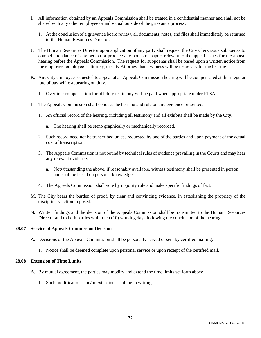- I. All information obtained by an Appeals Commission shall be treated in a confidential manner and shall not be shared with any other employee or individual outside of the grievance process.
	- 1. At the conclusion of a grievance board review, all documents, notes, and files shall immediately be returned to the Human Resources Director.
- J. The Human Resources Director upon application of any party shall request the City Clerk issue subpoenas to compel attendance of any person or produce any books or papers relevant to the appeal issues for the appeal hearing before the Appeals Commission. The request for subpoenas shall be based upon a written notice from the employee, employee's attorney, or City Attorney that a witness will be necessary for the hearing.
- K. Any City employee requested to appear at an Appeals Commission hearing will be compensated at their regular rate of pay while appearing on duty.
	- 1. Overtime compensation for off-duty testimony will be paid when appropriate under FLSA.
- L. The Appeals Commission shall conduct the hearing and rule on any evidence presented.
	- 1. An official record of the hearing, including all testimony and all exhibits shall be made by the City.
		- a. The hearing shall be steno graphically or mechanically recorded.
	- 2. Such record need not be transcribed unless requested by one of the parties and upon payment of the actual cost of transcription.
	- 3. The Appeals Commission is not bound by technical rules of evidence prevailing in the Courts and may hear any relevant evidence.
		- a. Notwithstanding the above, if reasonably available, witness testimony shall be presented in person and shall be based on personal knowledge.
	- 4. The Appeals Commission shall vote by majority rule and make specific findings of fact.
- M. The City bears the burden of proof, by clear and convincing evidence, in establishing the propriety of the disciplinary action imposed.
- N. Written findings and the decision of the Appeals Commission shall be transmitted to the Human Resources Director and to both parties within ten (10) working days following the conclusion of the hearing.

#### **28.07 Service of Appeals Commission Decision**

- A. Decisions of the Appeals Commission shall be personally served or sent by certified mailing.
	- 1. Notice shall be deemed complete upon personal service or upon receipt of the certified mail.

#### **28.08 Extension of Time Limits**

- A. By mutual agreement, the parties may modify and extend the time limits set forth above.
	- 1. Such modifications and/or extensions shall be in writing.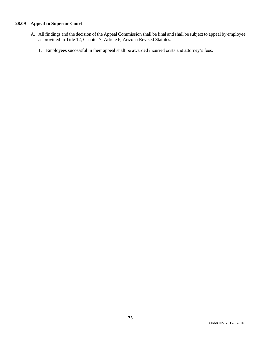## **28.09 Appeal to Superior Court**

- A. All findings and the decision of the Appeal Commission shall be final and shall be subject to appeal by employee as provided in Title 12, Chapter 7, Article 6, Arizona Revised Statutes.
	- 1. Employees successful in their appeal shall be awarded incurred costs and attorney's fees.